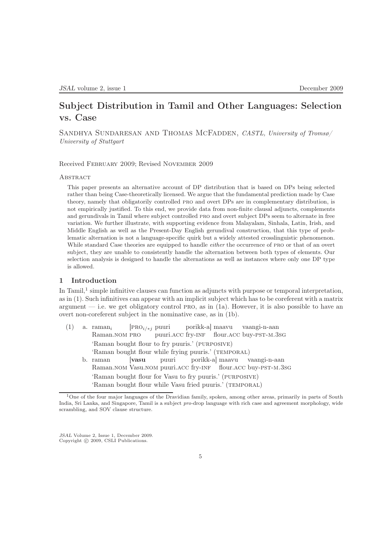# Subject Distribution in Tamil and Other Languages: Selection vs. Case

SANDHYA SUNDARESAN AND THOMAS MCFADDEN, CASTL, University of Tromsø/ University of Stuttgart

Received February 2009; Revised November 2009

# **ABSTRACT**

This paper presents an alternative account of DP distribution that is based on DPs being selected rather than being Case-theoretically licensed. We argue that the fundamental prediction made by Case theory, namely that obligatorily controlled pro and overt DPs are in complementary distribution, is not empirically justified. To this end, we provide data from non-finite clausal adjuncts, complements and gerundivals in Tamil where subject controlled pro and overt subject DPs seem to alternate in free variation. We further illustrate, with supporting evidence from Malayalam, Sinhala, Latin, Irish, and Middle English as well as the Present-Day English gerundival construction, that this type of problematic alternation is not a language-specific quirk but a widely attested crosslinguistic phenomenon. While standard Case theories are equipped to handle *either* the occurrence of PRO or that of an overt subject, they are unable to consistently handle the alternation between both types of elements. Our selection analysis is designed to handle the alternations as well as instances where only one DP type is allowed.

# 1 Introduction

In Tamil,<sup>1</sup> simple infinitive clauses can function as adjuncts with purpose or temporal interpretation, as in (1). Such infinitives can appear with an implicit subject which has to be coreferent with a matrix argument  $-$  i.e. we get obligatory control PRO, as in  $(1a)$ . However, it is also possible to have an overt non-coreferent subject in the nominative case, as in (1b).

 $(1)$  a. raman<sub>i</sub> Raman.NOM PRO [PRO<sub>i/\*j</sub> puuri puuri.acc fry-inf flour.acc buy-pst-m.3sg porikk-a] maavu vaangi-n-aan 'Raman bought flour to fry puuris.' (purposive) 'Raman bought flour while frying puuris.' (TEMPORAL) b. raman Raman.NOM Vasu.NOM puuri.ACC fry-INF [vasu puuri porikk-a] maavu flour.acc buy-pst-m.3sg vaangi-n-aan 'Raman bought flour for Vasu to fry puuris.' (purposive) 'Raman bought flour while Vasu fried puuris.' (TEMPORAL)

JSAL Volume 2, Issue 1, December 2009. Copyright © 2009, CSLI Publications.

<sup>1</sup>One of the four major languages of the Dravidian family, spoken, among other areas, primarily in parts of South India, Sri Lanka, and Singapore, Tamil is a subject *pro-*drop language with rich case and agreement morphology, wide scrambling, and SOV clause structure.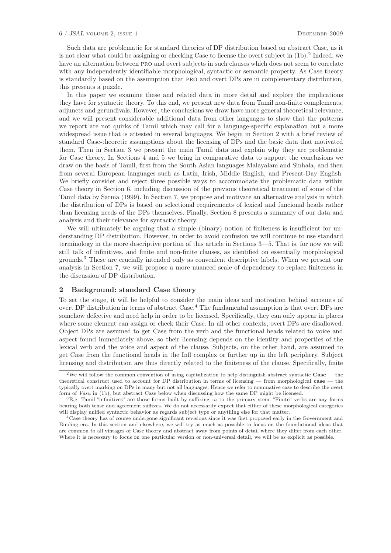#### 6 / JSAL volume 2, issue 1 December 2009

Such data are problematic for standard theories of DP distribution based on abstract Case, as it is not clear what could be assigning or checking Case to license the overt subject in (1b).<sup>2</sup> Indeed, we have an alternation between pro and overt subjects in such clauses which does not seem to correlate with any independently identifiable morphological, syntactic or semantic property. As Case theory is standardly based on the assumption that pro and overt DPs are in complementary distribution, this presents a puzzle.

In this paper we examine these and related data in more detail and explore the implications they have for syntactic theory. To this end, we present new data from Tamil non-finite complements, adjuncts and gerundivals. However, the conclusions we draw have more general theoretical relevance, and we will present considerable additional data from other languages to show that the patterns we report are not quirks of Tamil which may call for a language-specific explanation but a more widespread issue that is attested in several languages. We begin in Section 2 with a brief review of standard Case-theoretic assumptions about the licensing of DPs and the basic data that motivated them. Then in Section 3 we present the main Tamil data and explain why they are problematic for Case theory. In Sections 4 and 5 we bring in comparative data to support the conclusions we draw on the basis of Tamil, first from the South Asian languages Malayalam and Sinhala, and then from several European languages such as Latin, Irish, Middle English, and Present-Day English. We briefly consider and reject three possible ways to accommodate the problematic data within Case theory in Section 6, including discussion of the previous theoretical treatment of some of the Tamil data by Sarma (1999). In Section 7, we propose and motivate an alternative analysis in which the distribution of DPs is based on selectional requirements of lexical and funcional heads rather than licensing needs of the DPs themselves. Finally, Section 8 presents a summary of our data and analysis and their relevance for syntactic theory.

We will ultimately be arguing that a simple (binary) notion of finiteness is insufficient for understanding DP distribution. However, in order to avoid confusion we will continue to use standard terminology in the more descriptive portion of this article in Sections 3—5. That is, for now we will still talk of infinitives, and finite and non-finite clauses, as identified on essentially morphological grounds.<sup>3</sup> These are crucially intended only as convenient descriptive labels. When we present our analysis in Section 7, we will propose a more nuanced scale of dependency to replace finiteness in the discussion of DP distribution.

#### 2 Background: standard Case theory

To set the stage, it will be helpful to consider the main ideas and motivation behind accounts of overt DP distribution in terms of abstract Case.<sup>4</sup> The fundamental assumption is that overt DPs are somehow defective and need help in order to be licensed. Specifically, they can only appear in places where some element can assign or check their Case. In all other contexts, overt DPs are disallowed. Object DPs are assumed to get Case from the verb and the functional heads related to voice and aspect found immediately above, so their licensing depends on the identity and properties of the lexical verb and the voice and aspect of the clause. Subjects, on the other hand, are assumed to get Case from the functional heads in the Infl complex or further up in the left periphery. Subject licensing and distribution are thus directly related to the finiteness of the clause. Specifically, finite

<sup>&</sup>lt;sup>2</sup>We will follow the common convention of using capitalization to help distinguish abstract syntactic  $\text{Case}$  — the theoretical construct used to account for DP distribution in terms of licensing — from morphological case — the typically overt marking on DPs in many but not all languages. Hence we refer to nominative case to describe the overt form of *Vasu* in (1b), but abstract Case below when discussing how the same DP might be licensed.

<sup>3</sup>E.g. Tamil "infinitives" are those forms built by suffixing *-a* to the primary stem. "Finite" verbs are any forms bearing both tense and agreement suffixes. We do not necessarily expect that either of these morphological categories will display unified syntactic behavior as regards subject type or anything else for that matter.

<sup>4</sup>Case theory has of course undergone significant revisions since it was first proposed early in the Government and Binding era. In this section and elsewhere, we will try as much as possible to focus on the foundational ideas that are common to all vintages of Case theory and abstract away from points of detail where they differ from each other. Where it is necessary to focus on one particular version or non-universal detail, we will be as explicit as possible.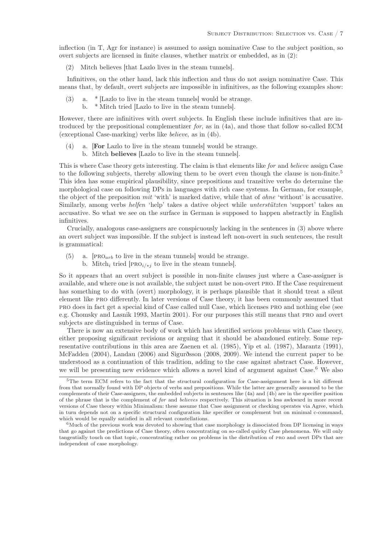inflection (in T, Agr for instance) is assumed to assign nominative Case to the subject position, so overt subjects are licensed in finite clauses, whether matrix or embedded, as in (2):

(2) Mitch believes [that Lazlo lives in the steam tunnels].

Infinitives, on the other hand, lack this inflection and thus do not assign nominative Case. This means that, by default, overt subjects are impossible in infinitives, as the following examples show:

- a. \* [Lazlo to live in the steam tunnels] would be strange.
	- b. \* Mitch tried [Lazlo to live in the steam tunnels].

However, there are infinitives with overt subjects. In English these include infinitives that are introduced by the prepositional complementizer for, as in (4a), and those that follow so-called ECM (exceptional Case-marking) verbs like believe, as in (4b).

- (4) a. [For Lazlo to live in the steam tunnels] would be strange.
	- b. Mitch believes [Lazlo to live in the steam tunnels].

This is where Case theory gets interesting. The claim is that elements like for and believe assign Case to the following subjects, thereby allowing them to be overt even though the clause is non-finite.<sup>5</sup> This idea has some empirical plausibility, since prepositions and transitive verbs do determine the morphological case on following DPs in languages with rich case systems. In German, for example, the object of the preposition mit 'with' is marked dative, while that of ohne 'without' is accusative. Similarly, among verbs helfen 'help' takes a dative object while unterstützten 'support' takes an accusative. So what we see on the surface in German is supposed to happen abstractly in English infinitives.

Crucially, analogous case-assigners are conspicuously lacking in the sentences in (3) above where an overt subject was impossible. If the subject is instead left non-overt in such sentences, the result is grammatical:

- (5) a. [PRO<sub>arb</sub> to live in the steam tunnels] would be strange.
	- b. Mitch<sub>i</sub> tried [PRO<sub>i/\*j</sub> to live in the steam tunnels].

So it appears that an overt subject is possible in non-finite clauses just where a Case-assigner is available, and where one is not available, the subject must be non-overt pro. If the Case requirement has something to do with (overt) morphology, it is perhaps plausible that it should treat a silent element like pro differently. In later versions of Case theory, it has been commonly assumed that pro does in fact get a special kind of Case called null Case, which licenses pro and nothing else (see e.g. Chomsky and Lasnik 1993, Martin 2001). For our purposes this still means that pro and overt subjects are distinguished in terms of Case.

There is now an extensive body of work which has identified serious problems with Case theory, either proposing significant revisions or arguing that it should be abandoned entirely. Some representative contributions in this area are Zaenen et al. (1985), Yip et al. (1987), Marantz (1991), McFadden (2004), Landau (2006) and Sigurðsson (2008, 2009). We intend the current paper to be understood as a continuation of this tradition, adding to the case against abstract Case. However, we will be presenting new evidence which allows a novel kind of argument against Case.<sup>6</sup> We also

<sup>5</sup>The term ECM refers to the fact that the structural configuration for Case-assignment here is a bit different from that normally found with DP objects of verbs and prepositions. While the latter are generally assumed to be the complements of their Case-assigners, the embedded subjects in sentences like (4a) and (4b) are in the specifier position of the phrase that is the complement of *for* and *believes* respectively. This situation is less awkward in more recent versions of Case theory within Minimalism: these assume that Case assignment or checking operates via Agree, which in turn depends not on a specific structural configuration like specifier or complement but on minimal c-command, which would be equally satisfied in all relevant constellations.

<sup>6</sup>Much of the previous work was devoted to showing that case morphology is dissociated from DP licensing in ways that go against the predictions of Case theory, often concentrating on so-called quirky Case phenomena. We will only tangentially touch on that topic, concentrating rather on problems in the distribution of pro and overt DPs that are independent of case morphology.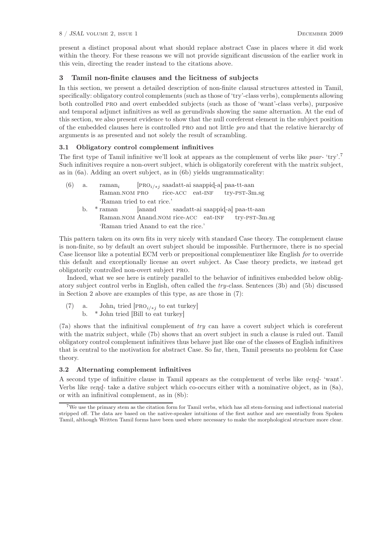present a distinct proposal about what should replace abstract Case in places where it did work within the theory. For these reasons we will not provide significant discussion of the earlier work in this vein, directing the reader instead to the citations above.

# 3 Tamil non-finite clauses and the licitness of subjects

In this section, we present a detailed description of non-finite clausal structures attested in Tamil, specifically: obligatory control complements (such as those of 'try'-class verbs), complements allowing both controlled pro and overt embedded subjects (such as those of 'want'-class verbs), purposive and temporal adjunct infinitives as well as gerundivals showing the same alternation. At the end of this section, we also present evidence to show that the null coreferent element in the subject position of the embedded clauses here is controlled pro and not little pro and that the relative hierarchy of arguments is as presented and not solely the result of scrambling.

# 3.1 Obligatory control complement infinitives

The first type of Tamil infinitive we'll look at appears as the complement of verbs like paar- 'try'.<sup>7</sup> Such infinitives require a non-overt subject, which is obligatorily coreferent with the matrix subject, as in (6a). Adding an overt subject, as in (6b) yields ungrammaticality:

| (6) | a.                         | raman <sub>i</sub> [PRO <sub>i/*j</sub> saadatt-ai saappid-a] paa-tt-aan |  |  |  |  |
|-----|----------------------------|--------------------------------------------------------------------------|--|--|--|--|
|     |                            | Raman.NOM PRO rice-ACC eat-INF try-PST-3m.sg                             |  |  |  |  |
|     | 'Raman tried to eat rice.' |                                                                          |  |  |  |  |
|     |                            | b. * raman [anand saadatt-ai saappid-a] paa-tt-aan                       |  |  |  |  |
|     |                            | Raman. NOM Anand. NOM rice-ACC eat-INF try-PST-3m.sg                     |  |  |  |  |
|     |                            | 'Raman tried Anand to eat the rice.'                                     |  |  |  |  |
|     |                            |                                                                          |  |  |  |  |

This pattern taken on its own fits in very nicely with standard Case theory. The complement clause is non-finite, so by default an overt subject should be impossible. Furthermore, there is no special Case licensor like a potential ECM verb or prepositional complementizer like English for to override this default and exceptionally license an overt subject. As Case theory predicts, we instead get obligatorily controlled non-overt subject pro.

Indeed, what we see here is entirely parallel to the behavior of infinitives embedded below obligatory subject control verbs in English, often called the try-class. Sentences (3b) and (5b) discussed in Section 2 above are examples of this type, as are those in (7):

- (7) a. John<sub>i</sub> tried [PRO<sub>i/\*j</sub> to eat turkey]
	- b. \* John tried [Bill to eat turkey]

(7a) shows that the infinitival complement of try can have a covert subject which is coreferent with the matrix subject, while (7b) shows that an overt subject in such a clause is ruled out. Tamil obligatory control complement infinitives thus behave just like one of the classes of English infinitives that is central to the motivation for abstract Case. So far, then, Tamil presents no problem for Case theory.

# 3.2 Alternating complement infinitives

A second type of infinitive clause in Tamil appears as the complement of verbs like  $v$ end- 'want'. Verbs like *ven* $d$ - take a dative subject which co-occurs either with a nominative object, as in  $(8a)$ , or with an infinitival complement, as in (8b):

<sup>7</sup>We use the primary stem as the citation form for Tamil verbs, which has all stem-forming and inflectional material stripped off. The data are based on the native-speaker intuitions of the first author and are essentially from Spoken Tamil, although Written Tamil forms have been used where necessary to make the morphological structure more clear.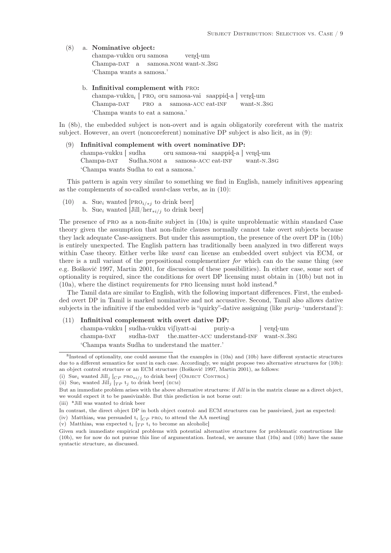## (8) a. Nominative object:

champa-vukku oru samosa Champa-DAT a samosa.nom want-n.3sg vend-um 'Champa wants a samosa.'

#### b. Infinitival complement with pro:

champa-vukku<sub>i</sub> [ PRO<sub>i</sub> oru samosa-vai saappid-a ] vend-um Champa-DAT PRO a samosa-ACC eat-INF want-n.3sg 'Champa wants to eat a samosa.'

In (8b), the embedded subject is non-overt and is again obligatorily coreferent with the matrix subject. However, an overt (noncoreferent) nominative DP subject is also licit, as in (9):

Infinitival complement with overt nominative DP: champa-vukku [ sudha Champa-DAT Sudha.nom a oru samosa-vai saappid-a ] vend-um samosa-ACC eat-INF want-n.3sg 'Champa wants Sudha to eat a samosa.'

This pattern is again very similar to something we find in English, namely infinitives appearing as the complements of so-called want-class verbs, as in (10):

- (10) a. Sue<sub>i</sub> wanted [PRO<sub>i/\*j</sub> to drink beer]
	- b. Sue<sub>i</sub> wanted  $\text{Jill/her}_{\star i/j}$  to drink beer]

The presence of PRO as a non-finite subject in (10a) is quite unproblematic within standard Case theory given the assumption that non-finite clauses normally cannot take overt subjects because they lack adequate Case-assigners. But under this assumption, the presence of the overt DP in (10b) is entirely unexpected. The English pattern has traditionally been analyzed in two different ways within Case theory. Either verbs like *want* can license an embedded overt subject via ECM, or there is a null variant of the prepositional complementizer for which can do the same thing (see e.g. Bošković 1997, Martin 2001, for discussion of these possibilities). In either case, some sort of optionality is required, since the conditions for overt DP licensing must obtain in (10b) but not in  $(10a)$ , where the distinct requirements for PRO licensing must hold instead.<sup>8</sup>

The Tamil data are similar to English, with the following important differences. First, the embedded overt DP in Tamil is marked nominative and not accusative. Second, Tamil also allows dative subjects in the infinitive if the embedded verb is "quirky"-dative assigning (like *puriy*- 'understand'):

## (11) Infinitival complement with overt dative DP:

champa-vukku [ sudha-vukku vi∫iyatt-ai champa-DAT sudha-DAT the.matter-ACC understand-INF want-N.3sG puriy-a  $\vert$  vend-um 'Champa wants Sudha to understand the matter.'

<sup>8</sup> Instead of optionality, one could assume that the examples in (10a) and (10b) have different syntactic structures due to a different semantics for *want* in each case. Accordingly, we might propose two alternative structures for (10b): an object control structure or an ECM structure (Bošković 1997, Martin 2001), as follows:

<sup>(</sup>i) Sue<sub>i</sub> wanted Jill<sub>j</sub>  $[_{CP}$  PRO<sub>\*i/j</sub> to drink beer] (OBJECT CONTROL)

<sup>(</sup>ii) Sue<sub>i</sub> wanted Jill<sub>j</sub>  $[T_P t_j$  to drink beer] (ECM)

But an immediate problem arises with the above alternative structures: if *Jill* is in the matrix clause as a direct object, we would expect it to be passivizable. But this prediction is not borne out:

<sup>(</sup>iii) \*Jill was wanted to drink beer

In contrast, the direct object DP in both object control- and ECM structures can be passivized, just as expected:

<sup>(</sup>iv) Matthias<sub>i</sub> was persuaded  $t_i$  [ $_{CP}$  PRO<sub>i</sub> to attend the AA meeting]

<sup>(</sup>v) Matthias<sub>i</sub> was expected  $t_i$  [ $TP t_i$  to become an alcoholic]

Given such immediate empirical problems with potential alternative structures for problematic constructions like (10b), we for now do not pursue this line of argumentation. Instead, we assume that (10a) and (10b) have the same syntactic structure, as discussed.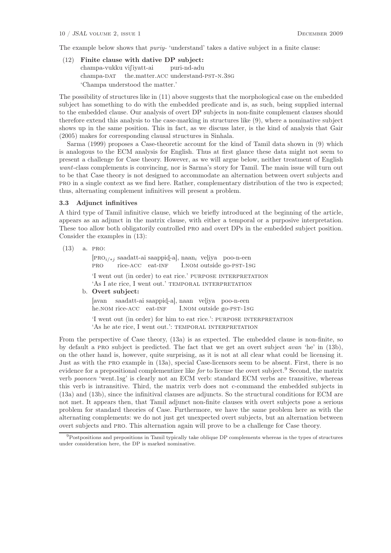The example below shows that *puriy*- 'understand' takes a dative subject in a finite clause:

(12) Finite clause with dative DP subject: champa-vukku vifiyatt-ai champa-DAT the.matter.ACC understand-PST-N.3SG puri-nd-adu 'Champa understood the matter.'

The possibility of structures like in (11) above suggests that the morphological case on the embedded subject has something to do with the embedded predicate and is, as such, being supplied internal to the embedded clause. Our analysis of overt DP subjects in non-finite complement clauses should therefore extend this analysis to the case-marking in structures like (9), where a nominative subject shows up in the same position. This in fact, as we discuss later, is the kind of analysis that Gair (2005) makes for corresponding clausal structures in Sinhala.

Sarma (1999) proposes a Case-theoretic account for the kind of Tamil data shown in (9) which is analogous to the ECM analysis for English. Thus at first glance these data might not seem to present a challenge for Case theory. However, as we will argue below, neither treatment of English want-class complements is convincing, nor is Sarma's story for Tamil. The main issue will turn out to be that Case theory is not designed to accommodate an alternation between overt subjects and pro in a single context as we find here. Rather, complementary distribution of the two is expected; thus, alternating complement infinitives will present a problem.

#### 3.3 Adjunct infinitives

A third type of Tamil infinitive clause, which we briefly introduced at the beginning of the article, appears as an adjunct in the matrix clause, with either a temporal or a purposive interpretation. These too allow both obligatorily controlled pro and overt DPs in the embedded subject position. Consider the examples in (13):

(13) a. pro:

[PRO<sub>i/\*j</sub> saadatt-ai saappid-a], naan<sub>i</sub> veliya poo-n-een pro rice-ACC eat-INF I.nom outside go-pst-1sg

'I went out (in order) to eat rice.' PURPOSE INTERPRETATION 'As I ate rice, I went out.' TEMPORAL INTERPRETATION

b. Overt subject:

[avan saadatt-ai saappid-a], naan veliya poo-n-een he.NOM rice-ACC eat-INF I.nom outside go-pst-1sg

'I went out (in order) for him to eat rice.': PURPOSE INTERPRETATION 'As he ate rice, I went out.': TEMPORAL INTERPRETATION

From the perspective of Case theory, (13a) is as expected. The embedded clause is non-finite, so by default a pro subject is predicted. The fact that we get an overt subject avan 'he' in (13b), on the other hand is, however, quite surprising, as it is not at all clear what could be licensing it. Just as with the pro example in (13a), special Case-licensors seem to be absent. First, there is no evidence for a prepositional complementizer like for to license the overt subject.<sup>9</sup> Second, the matrix verb pooneen 'went.1sg' is clearly not an ECM verb: standard ECM verbs are transitive, whereas this verb is intransitive. Third, the matrix verb does not c-command the embedded subjects in (13a) and (13b), since the infinitival clauses are adjuncts. So the structural conditions for ECM are not met. It appears then, that Tamil adjunct non-finite clauses with overt subjects pose a serious problem for standard theories of Case. Furthermore, we have the same problem here as with the alternating complements: we do not just get unexpected overt subjects, but an alternation between overt subjects and pro. This alternation again will prove to be a challenge for Case theory.

<sup>9</sup>Postpositions and prepositions in Tamil typically take oblique DP complements whereas in the types of structures under consideration here, the DP is marked nominative.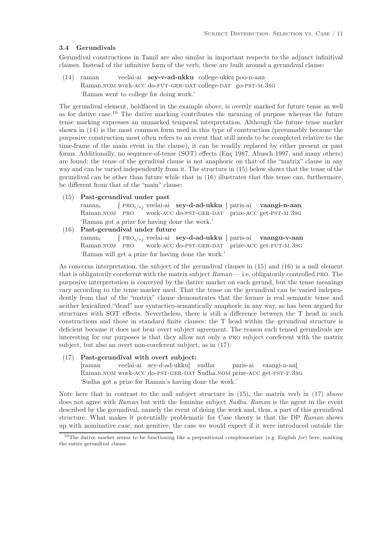#### 3.4 Gerundivals

Gerundival constructions in Tamil are also similar in important respects to the adjunct infinitival clauses. Instead of the infinitive form of the verb, these are built around a gerundival clause:

(14) raman Raman.NOM work-ACC do-FUT-GER-DAT college-DAT go-PST-M.3sG veelai-ai sey-v-ad-ukku college-ukku poo-n-aan 'Raman went to college for doing work.'

The gerundival element, boldfaced in the example above, is overtly marked for future tense as well as for dative case.<sup>10</sup> The dative marking contributes the meaning of purpose whereas the future tense marking expresses an unmarked temporal interpretation. Although the future tense marker shown in (14) is the most common form used in this type of construction (presumably because the purposive construction most often refers to an event that still needs to be completed relative to the time-frame of the main event in the clause), it can be readily replaced by either present or past forms. Additionally, no sequence-of-tense (SOT) effects (Enç 1987, Abusch 1997, and many others) are found: the tense of the gerudival clause is not anaphoric on that of the "matrix" clause in any way and can be varied independently from it. The structure in (15) below shows that the tense of the gerundival can be other than future while that in (16) illustrates that this tense can, furthermore, be different from that of the "main" clause:

(15) Past-gerundival under past

raman<sup>i</sup> Raman.NOM PRO [ PRO<sub>i/\*j</sub> veelai-ai sey-d-ad-ukku ] paris-ai vaangi-n-aan work-acc do-pst-ger-dat prize-acc get-pst-m.3sg 'Raman got a prize for having done the work.'

(16) Past-gerundival under future

 $raman<sub>i</sub>$ Raman.NOM PRO [ PRO<sub>i/\*j</sub> veelai-ai se**y-d-ad-ukku** ] paris-ai vaangu-v-aan work-acc do-pst-ger-dat prize-acc get-fut-m.3sg 'Raman will get a prize for having done the work.'

As concerns interpretation, the subject of the gerundival clauses in (15) and (16) is a null element that is obligatorily coreferent with the matrix subject  $Raman$ — i.e. obligatorily controlled PRO. The purposive interpretation is conveyed by the dative marker on each gerund, but the tense meanings vary according to the tense marker used. That the tense on the gerundival can be varied independently from that of the "matrix" clause demonstrates that the former is real semantic tense and neither lexicalized/"dead" nor syntactico-semantically anaphoric in any way, as has been argued for structures with SOT effects. Nevertheless, there is still a difference between the T head in such constructions and those in standard finite clauses: the T head within the gerundival structure is deficient because it does not bear overt subject agreement. The reason such tensed gerundivals are interesting for our purposes is that they allow not only a pro subject coreferent with the matrix subject, but also an overt non-coreferent subject, as in (17):

# (17) Past-gerundival with overt subject:

[raman Raman.nom work-ACC do-PST-GER-DAT Sudha.nom prize-ACC get-PST-F.3sG veelai-ai sey-d-ad-ukku] sudha paris-ai vaangi-n-aaí 'Sudha got a prize for Raman's having done the work.'

Note here that in contrast to the null subject structure in (15), the matrix verb in (17) above does not agree with Raman but with the feminine subject Sudha. Raman is the agent in the event described by the gerundival, namely the event of doing the work and, thus, a part of this gerundival structure. What makes it potentially problematic for Case theory is that the DP Raman shows up with nominative case, not genitive, the case we would expect if it were introduced outside the

<sup>10</sup>The dative marker seems to be functioning like a prepositional complementizer (e.g. English *for*) here, marking the entire gerundival clause.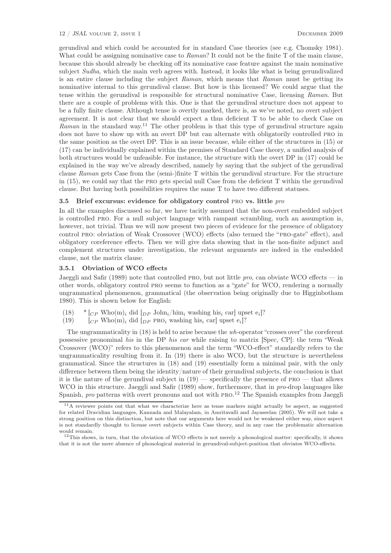gerundival and which could be accounted for in standard Case theories (see e.g. Chomsky 1981). What could be assigning nominative case to  $Raman$ ? It could not be the finite T of the main clause, because this should already be checking off its nominative case feature against the main nominative subject Sudha, which the main verb agrees with. Instead, it looks like what is being gerundivalized is an entire clause including the subject Raman, which means that Raman must be getting its nominative internal to this gerundival clause. But how is this licensed? We could argue that the tense within the gerundival is responsible for structural nominative Case, licensing Raman. But there are a couple of problems with this. One is that the gerundival structure does not appear to be a fully finite clause. Although tense is overtly marked, there is, as we've noted, no overt subject agreement. It is not clear that we should expect a thus deficient T to be able to check Case on  $Raman$  in the standard way.<sup>11</sup> The other problem is that this type of gerundival structure again does not have to show up with an overt DP but can alternate with obligatorily controlled pro in the same position as the overt DP. This is an issue because, while either of the structures in (15) or (17) can be individually explained within the premises of Standard Case theory, a unified analysis of both structures would be unfeasible. For instance, the structure with the overt DP in (17) could be explained in the way we've already described, namely by saying that the subject of the gerundival clause Raman gets Case from the (semi-)finite T within the gerundival structure. For the structure in (15), we could say that the pro gets special null Case from the deficient T within the gerundival clause. But having both possibilities requires the same T to have two different statuses.

# 3.5 Brief excursus: evidence for obligatory control pro vs. little pro

In all the examples discussed so far, we have tacitly assumed that the non-overt embedded subject is controlled pro. For a null subject language with rampant scrambling, such an assumption is, however, not trivial. Thus we will now present two pieces of evidence for the presence of obligatory control pro: obviation of Weak Crossover (WCO) effects (also termed the "pro-gate" effect), and obligatory coreference effects. Then we will give data showing that in the non-finite adjunct and complement structures under investigation, the relevant arguments are indeed in the embedded clause, not the matrix clause.

#### 3.5.1 Obviation of WCO effects

Jaeggli and Safir (1989) note that controlled PRO, but not little pro, can obviate WCO effects — in other words, obligatory control pro seems to function as a "gate" for WCO, rendering a normally ungrammatical phenomenon, grammatical (the observation being originally due to Higginbotham 1980). This is shown below for English:

- $(18)$  \*  $\left[\right]_{CP}$  Who $(m)_i$  did  $\left[\right]_{DP}$  John<sub>i</sub>/him<sub>i</sub> washing his<sub>i</sub> car] upset e<sub>i</sub>]?
- (19)  $\left[$   $\begin{array}{c} [C_P \text{ Who}(m)_i \text{ did } [DP \text{ PRO}_i \text{ washing his}_i \text{ car}] \text{ upset } e_i \end{array} \right]$ ?

The ungrammaticality in (18) is held to arise because the wh-operator "crosses over" the coreferent possessive pronominal his in the DP his car while raising to matrix [Spec, CP]: the term "Weak Crossover (WCO)" refers to this phenomenon and the term "WCO-effect" standardly refers to the ungrammaticality resulting from it. In (19) there is also WCO, but the structure is nevertheless grammatical. Since the structures in (18) and (19) essentially form a minimal pair, with the only difference between them being the identity/nature of their gerundival subjects, the conclusion is that it is the nature of the gerundival subject in  $(19)$  — specifically the presence of PRO — that allows WCO in this structure. Jaeggli and Safir (1989) show, furthermore, that in pro-drop languages like Spanish, *pro* patterns with overt pronouns and not with PRO.<sup>12</sup> The Spanish examples from Jaeggli

<sup>11</sup>A reviewer points out that what we characterize here as tense markers might actually be aspect, as suggested for related Dravidian languages, Kannada and Malayalam, in Amritavalli and Jayaseelan (2005). We will not take a strong position on this distinction, but note that our arguments here would not be weakened either way, since aspect is not standardly thought to license overt subjects within Case theory, and in any case the problematic alternation would remain.

 $12$ This shows, in turn, that the obviation of WCO effects is not merely a phonological matter: specifically, it shows that it is not the mere absence of phonological material in gerundival-subject-position that obviates WCO-effects.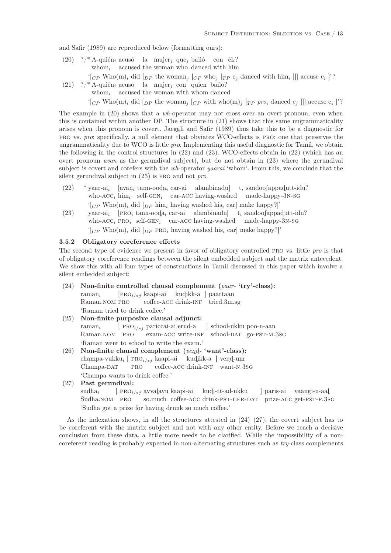and Safir (1989) are reproduced below (formatting ours):

(20)  $?\n$  \* A-quién<sub>i</sub> acusó la mujer<sub>j</sub> que<sub>j</sub> bailó con él<sub>i</sub>? whom<sub>i</sub> accused the woman who danced with him

 $\{C_P \text{ Who}(m)_i \text{ did } [DP \text{ the woman}_j [CP \text{ who}_j [TP \text{ e}_j \text{ danced with him}_i]]] \text{ accuse } e_i \}$ ?

(21)  $?$ /\* A-quién<sub>i</sub> acusó la mujer<sub>j</sub> con quien bailó?

whom  $i$  accused the woman with whom danced

 $\{C_P \text{ Who}(m)_i \text{ did } [DP \text{ the woman}_j [CP \text{ with who}(m)_j [TP \text{ pro}_i \text{ danced } e_j]]] \text{ accuse } e_i \}$ ?

The example in (20) shows that a wh-operator may not cross over an overt pronoun, even when this is contained within another DP. The structure in (21) shows that this same ungrammaticality arises when this pronoun is covert. Jaeggli and Safir (1989) thus take this to be a diagnostic for pro vs. pro: specifically, a null element that obviates WCO-effects is pro; one that preserves the ungrammaticality due to WCO is little *pro*. Implementing this useful diagnostic for Tamil, we obtain the following in the control structures in (22) and (23). WCO-effects obtain in (22) (which has an overt pronoun *avan* as the gerundival subject), but do not obtain in  $(23)$  where the gerundival subject is covert and corefers with the wh-operator yaarai 'whom'. From this, we conclude that the silent gerundival subject in  $(23)$  is PRO and not pro.

- $(22)$  \* yaar-ai<sub>i</sub> who- $ACC_i$  him<sub>i</sub> self-GEN<sub>i</sub> car-ACC having-washed made-happy-3N-SG  $[\text{avan}_i \ \text{tann-ood}a_i \ \text{car-ai} \ \text{alambinadu}]$  $t_i$  sandoofappadutt-idu?  $\left\{C_P \text{ Who}(m)_i \text{ did } [p_P \text{ him}_i \text{ having washed his}_i \text{ car} \right\}$  make happy?]'
- (23) yaar-ai<sub>i</sub> [PRO<sub>i</sub> tann-ooda<sub>i</sub> car-ai alambinadu] t<sub>i</sub> sandoofappadutt-idu? who- $ACC_i$  PRO<sub>i</sub> self-GEN<sub>i</sub> car-ACC having-washed made-happy-3N-SG  $\Gamma$ <sub>(CP</sub> Who(m)<sub>i</sub> did  $\Gamma$ <sub>DP</sub> PRO<sub>i</sub> having washed his<sub>i</sub> car] make happy?]'

# 3.5.2 Obligatory coreference effects

The second type of evidence we present in favor of obligatory controlled PRO vs. little pro is that of obligatory coreference readings between the silent embedded subject and the matrix antecedent. We show this with all four types of constructions in Tamil discussed in this paper which involve a silent embedded subject:

- (24) Non-finite controlled clausal complement (paar- 'try'-class): raman<sup>i</sup> Raman.NOM PRO [PRO<sub>i/∗j</sub> kaapi-ai kudikk-a ] paattaan coffee-acc drink-inf tried.3m.sg 'Raman tried to drink coffee.'
- (25) Non-finite purposive clausal adjunct: raman<sub>i</sub> Raman.NOM PRO [ PRO<sub>i/\*j</sub> pariccai-ai erud-a exam-ACC write-INF school-DAT go-PST-M.3SG ] school-ukku poo-n-aan 'Raman went to school to write the exam.'
- (26) Non-finite clausal complement (vend- 'want'-class): champa-vukku<sub>i</sub> [ PRO<sub>i/\*j</sub> kaapi-ai kudikk-a ] vend-um Champa-DAT pro coffee-acc drink-inf want-n.3sg 'Champa wants to drink coffee.'
- (27) Past gerundival:

 $subha<sub>i</sub>$ Sudha.nom PRO [ PRO<sub>i/\*j</sub> avvalavu kaapi-ai kudi-tt-ad-ukku so.much coffee-ACC drink-PST-GER-DAT prize-ACC get-PST-F.3sG ] paris-ai vaangi-n-aaí 'Sudha got a prize for having drunk so much coffee.'

As the indexation shows, in all the structures attested in  $(24)-(27)$ , the covert subject has to be coreferent with the matrix subject and not with any other entity. Before we reach a decisive conclusion from these data, a little more needs to be clarified. While the impossibility of a noncoreferent reading is probably expected in non-alternating structures such as  $try$ -class complements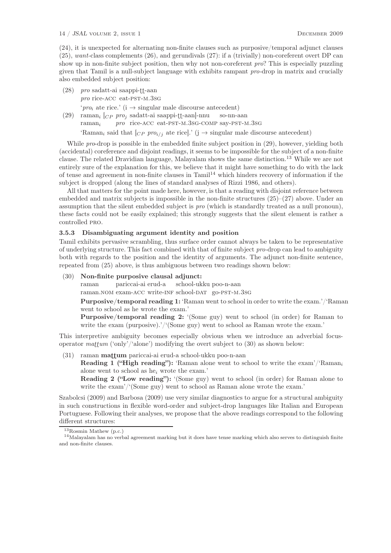(24), it is unexpected for alternating non-finite clauses such as purposive/temporal adjunct clauses (25), want-class complements (26), and gerundivals (27): if a (trivially) non-coreferent overt DP can show up in non-finite subject position, then why not non-coreferent pro? This is especially puzzling given that Tamil is a null-subject language with exhibits rampant pro-drop in matrix and crucially also embedded subject position:

(28) pro sadatt-ai saappi-tt-aan pro rice-ACC eat-PST-M.3SG

'pro<sub>i</sub> ate rice.' (i  $\rightarrow$  singular male discourse antecedent)

(29) raman<sub>i</sub>  $[CP \, pro_j \text{ sadatt-ai saappi-tt-aan}]$ -nnu raman<sup>i</sup> pro rice-ACC eat-PST-M.3SG-COMP say-PST-M.3SG so-nn-aan 'Raman<sub>i</sub> said that  $[CP \text{ pro}_{i/j}]$  ate rice].' (j  $\rightarrow$  singular male discourse antecedent)

While pro-drop is possible in the embedded finite subject position in (29), however, yielding both (accidental) coreference and disjoint readings, it seems to be impossible for the subject of a non-finite clause. The related Dravidian language, Malayalam shows the same distinction.<sup>13</sup> While we are not entirely sure of the explanation for this, we believe that it might have something to do with the lack of tense and agreement in non-finite clauses in Tamil<sup>14</sup> which hinders recovery of information if the subject is dropped (along the lines of standard analyses of Rizzi 1986, and others).

All that matters for the point made here, however, is that a reading with disjoint reference between embedded and matrix subjects is impossible in the non-finite structures  $(25)-(27)$  above. Under an assumption that the silent embedded subject is pro (which is standardly treated as a null pronoun), these facts could not be easily explained; this strongly suggests that the silent element is rather a controlled pro.

## 3.5.3 Disambiguating argument identity and position

Tamil exhibits pervasive scrambling, thus surface order cannot always be taken to be representative of underlying structure. This fact combined with that of finite subject pro-drop can lead to ambiguity both with regards to the position and the identity of arguments. The adjunct non-finite sentence, repeated from (25) above, is thus ambiguous between two readings shown below:

(30) Non-finite purposive clausal adjunct:

raman pariccai-ai erud-a school-ukku poo-n-aan

raman.NOM exam-ACC write-INF school-DAT go-PST-M.3sG

Purposive/temporal reading 1: 'Raman went to school in order to write the exam.'/'Raman went to school as he wrote the exam.'

Purposive/temporal reading 2: '(Some guy) went to school (in order) for Raman to write the exam (purposive).'/'(Some guy) went to school as Raman wrote the exam.'

This interpretive ambiguity becomes especially obvious when we introduce an adverbial focusoperator  $mattum$  ('only'/'alone') modifying the overt subject to (30) as shown below:

(31) raman mattum pariccai-ai erud-a school-ukku poo-n-aan

**Reading 1 ("High reading"):** 'Raman alone went to school to write the exam'/'Raman<sub>i</sub> alone went to school as he<sup>i</sup> wrote the exam.'

Reading 2 ("Low reading"): '(Some guy) went to school (in order) for Raman alone to write the exam'/'(Some guy) went to school as Raman alone wrote the exam.'

Szabolcsi (2009) and Barbosa (2009) use very similar diagnostics to argue for a structural ambiguity in such constructions in flexible word-order and subject-drop languages like Italian and European Portuguese. Following their analyses, we propose that the above readings correspond to the following different structures:

<sup>13</sup>Rosmin Mathew (p.c.)

 $14$ Malayalam has no verbal agreement marking but it does have tense marking which also serves to distinguish finite and non-finite clauses.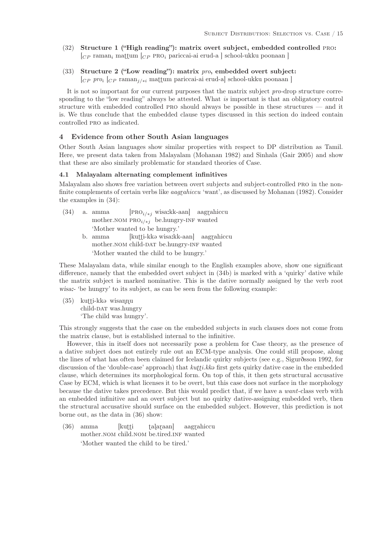- (32) Structure 1 ("High reading"): matrix overt subject, embedded controlled pro:  $C_{CP}$  raman<sub>i</sub> mattum  $C_{CP}$  proi pariccai-ai erud-a school-ukku poonaan ]
- (33) Structure 2 ("Low reading"): matrix pro, embedded overt subject:  $[CP ~ pro_i~ [CP ~ raman_{j/*i} ~ mattum ~ pariccai-ai ~erud-al]$  school-ukku poonaan ]

It is not so important for our current purposes that the matrix subject pro-drop structure corresponding to the "low reading" always be attested. What is important is that an obligatory control structure with embedded controlled pro should always be possible in these structures — and it is. We thus conclude that the embedded clause types discussed in this section do indeed contain controlled pro as indicated.

# 4 Evidence from other South Asian languages

Other South Asian languages show similar properties with respect to DP distribution as Tamil. Here, we present data taken from Malayalam (Mohanan 1982) and Sinhala (Gair 2005) and show that these are also similarly problematic for standard theories of Case.

#### 4.1 Malayalam alternating complement infinitives

Malayalam also shows free variation between overt subjects and subject-controlled PRO in the nonfinite complements of certain verbs like *aagrahiccu* 'want', as discussed by Mohanan (1982). Consider the examples in (34):

- (34) a. amma mother.NOM  $PRO_{i/*j}$  be.hungry-INF wanted  $\left[\text{PRO}_{i\neq j}\right]$  wisa:kk-aan] aagrahiccu 'Mother wanted to be hungry.' b. amma mother.NOM child-DAT be.hungry-INF wanted [kutti-kkə wisa:kk-aan] aagrahiccu
	- 'Mother wanted the child to be hungry.'

These Malayalam data, while similar enough to the English examples above, show one significant difference, namely that the embedded overt subject in (34b) is marked with a 'quirky' dative while the matrix subject is marked nominative. This is the dative normally assigned by the verb root wisa:- 'be hungry' to its subject, as can be seen from the following example:

(35) kutti-kka wisannu child-DAT was.hungry 'The child was hungry'.

This strongly suggests that the case on the embedded subjects in such clauses does not come from the matrix clause, but is established internal to the infinitive.

However, this in itself does not necessarily pose a problem for Case theory, as the presence of a dative subject does not entirely rule out an ECM-type analysis. One could still propose, along the lines of what has often been claimed for Icelandic quirky subjects (see e.g., Sigurðsson 1992, for discussion of the 'double-case' approach) that  $kulti.kk\varphi$  first gets quirky dative case in the embedded clause, which determines its morphological form. On top of this, it then gets structural accusative Case by ECM, which is what licenses it to be overt, but this case does not surface in the morphology because the dative takes precedence. But this would predict that, if we have a want-class verb with an embedded infinitive and an overt subject but no quirky dative-assigning embedded verb, then the structural accusative should surface on the embedded subject. However, this prediction is not borne out, as the data in (36) show:

(36) amma mother.NOM child.NOM be.tired.INF wanted [kutti talaraan] aagrahiccu 'Mother wanted the child to be tired.'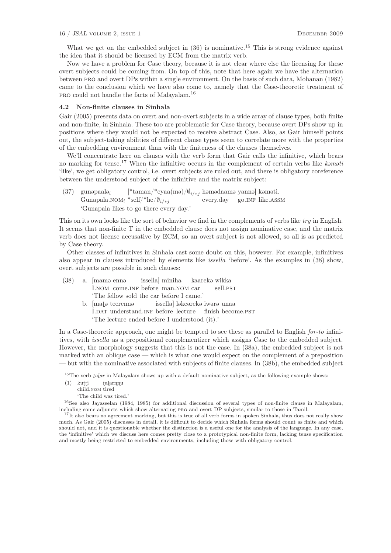#### 16 / JSAL volume 2, issue 1 December 2009

What we get on the embedded subject in  $(36)$  is nominative.<sup>15</sup> This is strong evidence against the idea that it should be licensed by ECM from the matrix verb.

Now we have a problem for Case theory, because it is not clear where else the licensing for these overt subjects could be coming from. On top of this, note that here again we have the alternation between pro and overt DPs within a single environment. On the basis of such data, Mohanan (1982) came to the conclusion which we have also come to, namely that the Case-theoretic treatment of pro could not handle the facts of Malayalam.<sup>16</sup>

## 4.2 Non-finite clauses in Sinhala

Gair (2005) presents data on overt and non-overt subjects in a wide array of clause types, both finite and non-finite, in Sinhala. These too are problematic for Case theory, because overt DPs show up in positions where they would not be expected to receive abstract Case. Also, as Gair himself points out, the subject-taking abilities of different clause types seem to correlate more with the properties of the embedding environment than with the finiteness of the clauses themselves.

We'll concentrate here on clauses with the verb form that Gair calls the infinitive, which bears no marking for tense.<sup>17</sup> When the infinitive occurs in the complement of certain verbs like komoti 'like', we get obligatory control, i.e. overt subjects are ruled out, and there is obligatory coreference between the understood subject of the infinitive and the matrix subject:

 $(37)$  gunapaala<sub>i</sub> Gunapala.nom<sub>i</sub> \*self/\*he/ $\emptyset_{i\neq j}$  $[$ \*taman/\*eyaa(mə)/ $\emptyset$ <sub>i/\*j</sub> həmədaamə yannə] kəməti. every.day go.INF like.ASSM 'Gunapala likes to go there every day.'

This on its own looks like the sort of behavior we find in the complements of verbs like try in English. It seems that non-finite T in the embedded clause does not assign nominative case, and the matrix verb does not license accusative by ECM, so an overt subject is not allowed, so all is as predicted by Case theory.

Other classes of infinitives in Sinhala cast some doubt on this, however. For example, infinitives also appear in clauses introduced by elements like issella 'before'. As the examples in (38) show, overt subjects are possible in such clauses:

|  |                                               | (38) a. [mamə ennə issella] miniha kaarekə wikka      |  |  |
|--|-----------------------------------------------|-------------------------------------------------------|--|--|
|  |                                               | I.NOM come. INF before man. NOM car sell. PST         |  |  |
|  | 'The fellow sold the car before I came.'      |                                                       |  |  |
|  |                                               | b. [matə teerennə issella] ləkcərekə iwərə unaa       |  |  |
|  |                                               | I.DAT understand.INF before lecture finish become.PST |  |  |
|  | 'The lecture ended before I understood (it).' |                                                       |  |  |

In a Case-theoretic approach, one might be tempted to see these as parallel to English for-to infinitives, with issella as a prepositional complementizer which assigns Case to the embedded subject. However, the morphology suggests that this is not the case. In (38a), the embedded subject is not marked with an oblique case — which is what one would expect on the complement of a preposition — but with the nominative associated with subjects of finite clauses. In (38b), the embedded subject

<sup>&</sup>lt;sup>15</sup>The verb *talar* in Malayalam shows up with a default nominative subject, as the following example shows:

 $(1)$  kutti talarnnu

child.nom tired

<sup>&#</sup>x27;The child was tired.'

<sup>16</sup>See also Jayaseelan (1984, 1985) for additional discussion of several types of non-finite clause in Malayalam, including some adjuncts which show alternating pro and overt DP subjects, similar to those in Tamil.

<sup>&</sup>lt;sup>17</sup>It also bears no agreement marking, but this is true of all verb forms in spoken Sinhala, thus does not really show much. As Gair (2005) discusses in detail, it is difficult to decide which Sinhala forms should count as finite and which should not, and it is questionable whether the distinction is a useful one for the analysis of the language. In any case, the 'infinitive' which we discuss here comes pretty close to a prototypical non-finite form, lacking tense specification and mostly being restricted to embedded environments, including those with obligatory control.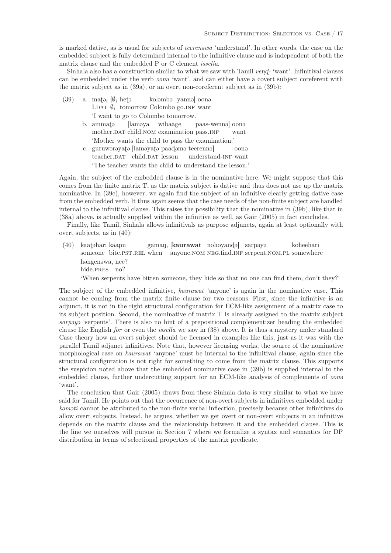is marked dative, as is usual for subjects of *teerenowa* 'understand'. In other words, the case on the embedded subject is fully determined internal to the infinitive clause and is independent of both the matrix clause and the embedded P or C element issella.

Sinhala also has a construction similar to what we saw with Tamil  $\ell$ end- 'want'. Infinitival clauses can be embedded under the verb *oona* 'want', and can either have a covert subject coreferent with the matrix subject as in (39a), or an overt non-coreferent subject as in (39b):

- (39) a. mat<sub>ei</sub>  $[\emptyset_i]$  hete I.DAT  $\emptyset_i$  tomorrow Colombo go. INF want koləmbə yannə] oonə 'I want to go to Colombo tomorrow.' b. ammata mother. DAT child. NOM examination pass. INF [lam@ya wibaage paas-wennə] oonə want
	- 'Mother wants the child to pass the examination.'
	- c. guruwarayata [lamayata paadama teerenna] teacher.DAT child.DAT lesson understand-inf want oon@ 'The teacher wants the child to understand the lesson.'

Again, the subject of the embedded clause is in the nominative here. We might suppose that this comes from the finite matrix T, as the matrix subject is dative and thus does not use up the matrix nominative. In (39c), however, we again find the subject of an infinitive clearly getting dative case from the embedded verb. It thus again seems that the case needs of the non-finite subject are handled internal to the infinitival clause. This raises the possibility that the nominative in (39b), like that in (38a) above, is actually supplied within the infinitive as well, as Gair (2005) in fact concludes.

Finally, like Tamil, Sinhala allows infinitivals as purpose adjuncts, again at least optionally with overt subjects, as in (40):

(40) kaata kaapu someone bite.PST.REL when anyone.NOM NEG.find.INF serpent.NOM.PL somewhere gaman, [kaurawat nohoyandə] sarpəyə koheehari hangenawa, nee? hide.PRES no?

'When serpents have bitten someone, they hide so that no one can find them, don't they?'

The subject of the embedded infinitive, kaurawat 'anyone' is again in the nominative case. This cannot be coming from the matrix finite clause for two reasons. First, since the infinitive is an adjunct, it is not in the right structural configuration for ECM-like assignment of a matrix case to its subject position. Second, the nominative of matrix T is already assigned to the matrix subject sarpoyo 'serpents'. There is also no hint of a prepositional complementizer heading the embedded clause like English for or even the issella we saw in (38) above. It is thus a mystery under standard Case theory how an overt subject should be licensed in examples like this, just as it was with the parallel Tamil adjunct infinitives. Note that, however licensing works, the source of the nominative morphological case on *kaurawat* 'anyone' must be internal to the infinitival clause, again since the structural configuration is not right for something to come from the matrix clause. This supports the suspicion noted above that the embedded nominative case in (39b) is supplied internal to the embedded clause, further undercutting support for an ECM-like analysis of complements of *oona* 'want'.

The conclusion that Gair (2005) draws from these Sinhala data is very similar to what we have said for Tamil. He points out that the occurrence of non-overt subjects in infinitives embedded under kamati cannot be attributed to the non-finite verbal inflection, precisely because other infinitives do allow overt subjects. Instead, he argues, whether we get overt or non-overt subjects in an infinitive depends on the matrix clause and the relationship between it and the embedded clause. This is the line we ourselves will pursue in Section 7 where we formalize a syntax and semantics for DP distribution in terms of selectional properties of the matrix predicate.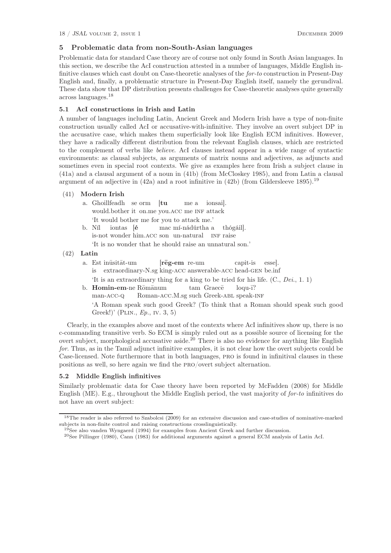# 5 Problematic data from non-South-Asian languages

Problematic data for standard Case theory are of course not only found in South Asian languages. In this section, we describe the AcI construction attested in a number of languages, Middle English infinitive clauses which cast doubt on Case-theoretic analyses of the for-to construction in Present-Day English and, finally, a problematic structure in Present-Day English itself, namely the gerundival. These data show that DP distribution presents challenges for Case-theoretic analyses quite generally across languages.<sup>18</sup>

# 5.1 AcI constructions in Irish and Latin

A number of languages including Latin, Ancient Greek and Modern Irish have a type of non-finite construction usually called AcI or accusative-with-infinitive. They involve an overt subject DP in the accusative case, which makes them superficially look like English ECM infinitives. However, they have a radically different distribution from the relevant English clauses, which are restricted to the complement of verbs like believe. AcI clauses instead appear in a wide range of syntactic environments: as clausal subjects, as arguments of matrix nouns and adjectives, as adjuncts and sometimes even in special root contexts. We give as examples here from Irish a subject clause in (41a) and a clausal argument of a noun in (41b) (from McCloskey 1985), and from Latin a clausal argument of an adjective in  $(42a)$  and a root infinitive in  $(42b)$  (from Gildersleeve 1895).<sup>19</sup>

# (41) Modern Irish

- a. Ghoillfeadh se orm [tu would.bother it on.me you.ACC me INF attack me a ionsai]. 'It would bother me for you to attack me.'
- b. Níl is-not wonder him. ACC son un-natural INF raise iontas [é mac mí-nádúrtha a thógáil].
	- 'It is no wonder that he should raise an unnatural son.'

# (42) Latin

- a. Est inusitat-um is extraordinary-N.sg king-acc answerable-acc head-gen be.inf reg-em re-um capit-is esse]. 'It is an extraordinary thing for a king to be tried for his life. (C., Dei., 1. 1)
- b. Homin-em-ne Rōmānum man-acc-q Roman-ACC.M.sg such Greek-ABL speak-INF tam Graec<del>e</del>  $logu-<sub>1</sub>?$ 'A Roman speak such good Greek? (To think that a Roman should speak such good Greek!)' (PLIN.,  $Ep.$ , IV. 3, 5)

Clearly, in the examples above and most of the contexts where AcI infinitives show up, there is no c-commanding transitive verb. So ECM is simply ruled out as a possible source of licensing for the overt subject, morphological accusative aside.<sup>20</sup> There is also no evidence for anything like English for. Thus, as in the Tamil adjunct infinitive examples, it is not clear how the overt subjects could be Case-licensed. Note furthermore that in both languages, pro is found in infinitival clauses in these positions as well, so here again we find the pro/overt subject alternation.

# 5.2 Middle English infinitives

Similarly problematic data for Case theory have been reported by McFadden (2008) for Middle English (ME). E.g., throughout the Middle English period, the vast majority of for-to infinitives do not have an overt subject:

<sup>18</sup>The reader is also referred to Szabolcsi (2009) for an extensive discussion and case-studies of nominative-marked subjects in non-finite control and raising constructions crosslinguistically.

<sup>19</sup>See also vanden Wyngaerd (1994) for examples from Ancient Greek and further discussion.

<sup>20</sup>See Pillinger (1980), Cann (1983) for additional arguments against a general ECM analysis of Latin AcI.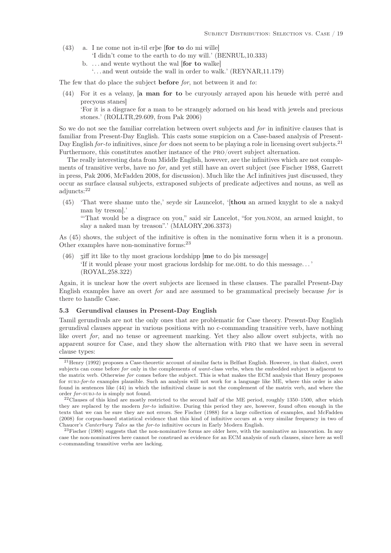- (43) a. I ne come not in-til erþe [for to do mi wille]
	- 'I didn't come to the earth to do my will.' (BENRUL,10.333)
	- b. . . . and wente wythout the wal [for to walke]
		- '. . . and went outside the wall in order to walk.' (REYNAR,11.179)

The few that do place the subject **before** for, not between it and to:

(44) For it es a velany, [a man for to be curyously arrayed apon his heuede with perré and precyous stanes]

'For it is a disgrace for a man to be strangely adorned on his head with jewels and precious stones.' (ROLLTR,29.609, from Pak 2006)

So we do not see the familiar correlation between overt subjects and for in infinitive clauses that is familiar from Present-Day English. This casts some suspicion on a Case-based analysis of Present-Day English for-to infinitives, since for does not seem to be playing a role in licensing overt subjects.<sup>21</sup> Furthermore, this constitutes another instance of the pro/overt subject alternation.

The really interesting data from Middle English, however, are the infinitives which are not complements of transitive verbs, have no for, and yet still have an overt subject (see Fischer 1988, Garrett in press, Pak 2006, McFadden 2008, for discussion). Much like the AcI infinitives just discussed, they occur as surface clausal subjects, extraposed subjects of predicate adjectives and nouns, as well as adjuncts:<sup>22</sup>

(45) 'That were shame unto the,' seyde sir Launcelot, '[thou an armed knyght to sle a nakyd man by treson].'

'"That would be a disgrace on you," said sir Lancelot, "for you.nom, an armed knight, to slay a naked man by treason".' (MALORY,206.3373)

As (45) shows, the subject of the infinitive is often in the nominative form when it is a pronoun. Other examples have non-nominative forms:<sup>23</sup>

 $(46)$  ziff itt like to thy most gracious lordshipp  $[$ me to do þis message $]$ 'If it would please your most gracious lordship for me.obl to do this message. . . ' (ROYAL,258.322)

Again, it is unclear how the overt subjects are licensed in these clauses. The parallel Present-Day English examples have an overt for and are assumed to be grammatical precisely because for is there to handle Case.

#### 5.3 Gerundival clauses in Present-Day English

Tamil gerundivals are not the only ones that are problematic for Case theory. Present-Day English gerundival clauses appear in various positions with no c-commanding transitive verb, have nothing like overt *for*, and no tense or agreement marking. Yet they also allow overt subjects, with no apparent source for Case, and they show the alternation with pro that we have seen in several clause types:

<sup>21</sup>Henry (1992) proposes a Case-theoretic account of similar facts in Belfast English. However, in that dialect, overt subjects can come before *for* only in the complements of *want*-class verbs, when the embedded subject is adjacent to the matrix verb. Otherwise *for* comes before the subject. This is what makes the ECM analysis that Henry proposes for subj-*for-to* examples plausible. Such an analysis will not work for a language like ME, where this order is also found in sentences like (44) in which the infinitival clause is not the complement of the matrix verb, and where the order *for*-subj-*to* is simply not found.

 $^{22}$ Clauses of this kind are mostly restricted to the second half of the ME period, roughly 1350–1500, after which they are replaced by the modern *for-to* infinitive. During this period they are, however, found often enough in the texts that we can be sure they are not errors. See Fischer (1988) for a large collection of examples, and McFadden (2008) for corpus-based statistical evidence that this kind of infinitive occurs at a very similar frequency in two of Chaucer's *Canterbury Tales* as the *for-to* infinitive occurs in Early Modern English.

<sup>&</sup>lt;sup>23</sup>Fischer (1988) suggests that the non-nominative forms are older here, with the nominative an innovation. In any case the non-nominatives here cannot be construed as evidence for an ECM analysis of such clauses, since here as well c-commanding transitive verbs are lacking.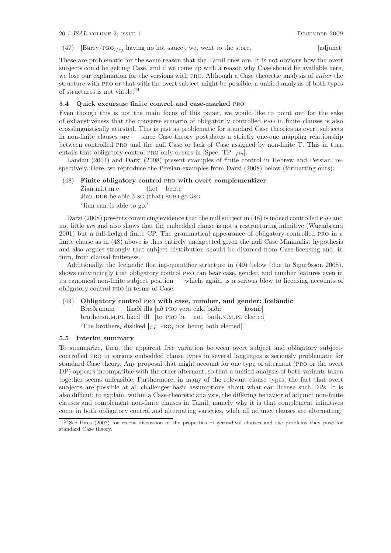(47) [Barry/PRO<sub>i/\*j</sub> having no hot sauce], we<sub>i</sub> went to the store. [adjunct]

These are problematic for the same reason that the Tamil ones are. It is not obvious how the overt subjects could be getting Case, and if we come up with a reason why Case should be available here, we lose our explanation for the versions with PRO. Although a Case theoretic analysis of *either* the structure with PRO or that with the overt subject might be possible, a unified analysis of both types of structures is not viable.<sup>24</sup>

# 5.4 Quick excursus: finite control and case-marked pro

Even though this is not the main focus of this paper, we would like to point out for the sake of exhaustiveness that the converse scenario of obligatorily controlled pro in finite clauses is also crosslinguistically attested. This is just as problematic for standard Case theories as overt subjects in non-finite clauses are — since Case theory postulates a strictly one-one mapping relationship between controlled pro and the null Case or lack of Case assigned by non-finite T. This in turn entails that obligatory control PRO only occurs in  $\text{[Spec, TP_{-fin}]}$ .

Landau (2004) and Darzi (2008) present examples of finite control in Hebrew and Persian, respectively. Here, we reproduce the Persian examples from Darzi (2008) below (formatting ours):

#### (48) Finite obligatory control pro with overt complementizer

Žian mi.tun.e Jian DUR.be.able.3.sg (that) SUBJ.go.3sg (ke) be.r.e 'Jian can/is able to go.'

Darzi (2008) presents convincing evidence that the null subject in (48) is indeed controlled pro and not little pro and also shows that the embedded clause is not a restructuring infinitive (Wurmbrand 2001) but a full-fledged finite CP. The grammatical appearance of obligatory-controlled pro in a finite clause as in (48) above is thus entirely unexpected given the null Case Minimalist hypothesis and also argues strongly that subject distribution should be divorced from Case-licensing and, in turn, from clausal finiteness.

Additionally, the Icelandic floating-quantifier structure in (49) below (due to Sigurðsson 2008), shows convincingly that obligatory control pro can bear case, gender, and number features even in its canonical non-finite subject position — which, again, is a serious blow to licensing accounts of obligatory control pro in terms of Case:

# (49) Obligatory control pro with case, number, and gender: Icelandic

Bræðrunum brothersD.M.PL liked ill [to PRO be not both.N.M.PL elected] likaði illa [að pro vera ekki báðir kosnir] 'The brothers<sub>i</sub> disliked  $C_P$  PRO<sub>i</sub> not being both elected].'

#### 5.5 Interim summary

To summarize, then, the apparent free variation between overt subject and obligatory subjectcontrolled pro in various embedded clause types in several languages is seriously problematic for standard Case theory. Any proposal that might account for one type of alternant (pro or the overt DP) appears incompatible with the other alternant, so that a unified analysis of both variants taken together seems unfeasible. Furthermore, in many of the relevant clause types, the fact that overt subjects are possible at all challenges basic assumptions about what can license such DPs. It is also difficult to explain, within a Case-theoretic analysis, the differing behavior of adjunct non-finite clauses and complement non-finite clauses in Tamil, namely why it is that complement infinitives come in both obligatory control and alternating varieties, while all adjunct clauses are alternating.

<sup>&</sup>lt;sup>24</sup>See Pires (2007) for recent discussion of the properties of gerundival clauses and the problems they pose for standard Case theory.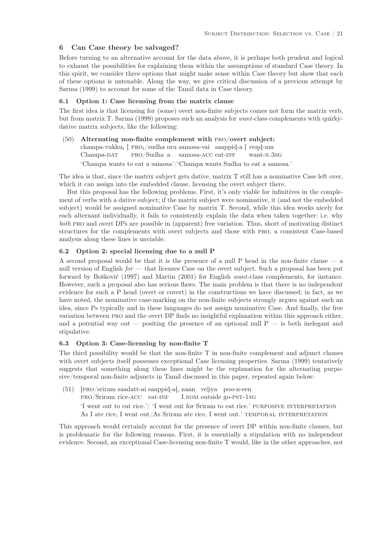# 6 Can Case theory be salvaged?

Before turning to an alternative account for the data above, it is perhaps both prudent and logical to exhaust the possibilities for explaining them within the assumptions of standard Case theory. In this spirit, we consider three options that might make sense within Case theory but show that each of these options is untenable. Along the way, we give critical discussion of a previous attempt by Sarma (1999) to account for some of the Tamil data in Case theory.

# 6.1 Option 1: Case licensing from the matrix clause

The first idea is that licensing for (some) overt non-finite subjects comes not form the matrix verb, but from matrix T. Sarma (1999) proposes such an analysis for want-class complements with quirkydative matrix subjects, like the following:

(50) Alternating non-finite complement with pro/overt subject: champa-vukku<sub>i</sub> [  $PROi/sudha$  oru samosa-vai saappid-a ] vend-um Champa-DAT pro/Sudha a samosa-acc eat-inf want-n.3sg 'Champa wants to eat a samosa'/'Champa wants Sudha to eat a samosa.'

The idea is that, since the matrix subject gets dative, matrix T still has a nominative Case left over, which it can assign into the embedded clause, licensing the overt subject there.

But this proposal has the following problems. First, it's only viable for infinitives in the complement of verbs with a dative subject; if the matrix subject were nominative, it (and not the embedded subject) would be assigned nominative Case by matrix T. Second, while this idea works nicely for each alternant individually, it fails to consistently explain the data when taken together: i.e. why both pro and overt DPs are possible in (apparent) free variation. Thus, short of motivating distinct structures for the complements with overt subjects and those with pro, a consistent Case-based analysis along these lines is unviable.

## 6.2 Option 2: special licensing due to a null P

A second proposal would be that it is the presence of a null P head in the non-finite clause — a null version of English  $for$  — that licenses Case on the overt subject. Such a proposal has been put forward by Bošković (1997) and Martin (2001) for English want-class complements, for instance. However, such a proposal also has serious flaws. The main problem is that there is no independent evidence for such a P head (overt or covert) in the constructions we have discussed; in fact, as we have noted, the nominative case-marking on the non-finite subjects strongly argues against such an idea, since Ps typically and in these languages do not assign nominative Case. And finally, the free variation between pro and the overt DP finds no insightful explanation within this approach either, and a potential way out — positing the presence of an optional null  $P$  — is both inelegant and stipulative.

#### 6.3 Option 3: Case-licensing by non-finite T

The third possibility would be that the non-finite T in non-finite complement and adjunct clauses with overt subjects itself possesses exceptional Case licensing properties. Sarma (1999) tentatively suggests that something along these lines might be the explanation for the alternating purposive/temporal non-finite adjuncts in Tamil discussed in this paper, repeated again below:

(51) [PRO/sriram saadatt-ai saappid-a], naan veliya poo-n-een pro/Sriram rice-acc eat-inf I.nom outside go-pst-1sg 'I went out to eat rice.'/ 'I went out for Sriram to eat rice.' PURPOSIVE INTERPRETATION As I ate rice, I went out/As Sriram ate rice, I went out.' TEMPORAL INTERPRETATION

This approach would certainly account for the presence of overt DP within non-finite clauses, but is problematic for the following reasons. First, it is essentially a stipulation with no independent evidence. Second, an exceptional Case-licensing non-finite T would, like in the other approaches, not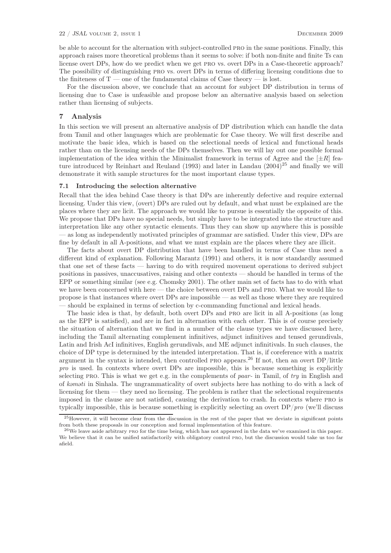be able to account for the alternation with subject-controlled pro in the same positions. Finally, this approach raises more theoretical problems than it seems to solve: if both non-finite and finite Ts can license overt DPs, how do we predict when we get pro vs. overt DPs in a Case-theoretic approach? The possibility of distinguishing pro vs. overt DPs in terms of differing licensing conditions due to the finiteness of  $T$  — one of the fundamental claims of Case theory — is lost.

For the discussion above, we conclude that an account for subject DP distribution in terms of licensing due to Case is unfeasible and propose below an alternative analysis based on selection rather than licensing of subjects.

# 7 Analysis

In this section we will present an alternative analysis of DP distribution which can handle the data from Tamil and other languages which are problematic for Case theory. We will first describe and motivate the basic idea, which is based on the selectional needs of lexical and functional heads rather than on the licensing needs of the DPs themselves. Then we will lay out one possible formal implementation of the idea within the Minimalist framework in terms of Agree and the  $[\pm R]$  feature introduced by Reinhart and Reuland (1993) and later in Landau  $(2004)^{25}$  and finally we will demonstrate it with sample structures for the most important clause types.

#### 7.1 Introducing the selection alternative

Recall that the idea behind Case theory is that DPs are inherently defective and require external licensing. Under this view, (overt) DPs are ruled out by default, and what must be explained are the places where they are licit. The approach we would like to pursue is essentially the opposite of this. We propose that DPs have no special needs, but simply have to be integrated into the structure and interpretation like any other syntactic elements. Thus they can show up anywhere this is possible — as long as independently motivated principles of grammar are satisfied. Under this view, DPs are fine by default in all A-positions, and what we must explain are the places where they are illicit.

The facts about overt DP distribution that have been handled in terms of Case thus need a different kind of explanation. Following Marantz (1991) and others, it is now standardly assumed that one set of these facts — having to do with required movement operations to derived subject positions in passives, unaccusatives, raising and other contexts — should be handled in terms of the EPP or something similar (see e.g. Chomsky 2001). The other main set of facts has to do with what we have been concerned with here — the choice between overt DPs and pro. What we would like to propose is that instances where overt DPs are impossible — as well as those where they are required — should be explained in terms of selection by c-commanding functional and lexical heads.

The basic idea is that, by default, both overt DPs and pro are licit in all A-positions (as long as the EPP is satisfied), and are in fact in alternation with each other. This is of course precisely the situation of alternation that we find in a number of the clause types we have discussed here, including the Tamil alternating complement infinitives, adjunct infinitives and tensed gerundivals, Latin and Irish AcI infinitives, English gerundivals, and ME adjunct infinitivals. In such clauses, the choice of DP type is determined by the intended interpretation. That is, if coreference with a matrix argument in the syntax is intended, then controlled pro appears.<sup>26</sup> If not, then an overt DP/little pro is used. In contexts where overt DPs are impossible, this is because something is explicitly selecting PRO. This is what we get e.g. in the complements of paar- in Tamil, of try in English and of komoti in Sinhala. The ungrammaticality of overt subjects here has nothing to do with a lack of licensing for them — they need no licensing. The problem is rather that the selectional requirements imposed in the clause are not satisfied, causing the derivation to crash. In contexts where pro is typically impossible, this is because something is explicitly selecting an overt DP/pro (we'll discuss

 $^{25}$ However, it will become clear from the discussion in the rest of the paper that we deviate in significant points from both these proposals in our conception and formal implementation of this feature.

 $^{26}$ We leave aside arbitrary pro for the time being, which has not appeared in the data we've examined in this paper. We believe that it can be unified satisfactorily with obligatory control pro, but the discussion would take us too far afield.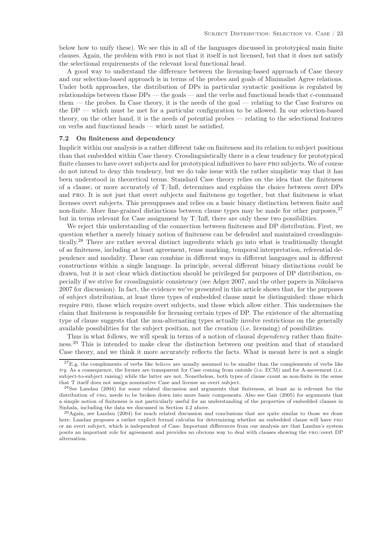below how to unify these). We see this in all of the languages discussed in prototypical main finite clauses. Again, the problem with pro is not that it itself is not licensed, but that it does not satisfy the selectional requirements of the relevant local functional head.

A good way to understand the difference between the licensing-based approach of Case theory and our selection-based approach is in terms of the probes and goals of Minimalist Agree relations. Under both approaches, the distribution of DPs in particular syntactic positions is regulated by relationships between those DPs — the goals — and the verbs and functional heads that c-command them — the probes. In Case theory, it is the needs of the goal — relating to the Case features on the DP — which must be met for a particular configuration to be allowed. In our selection-based theory, on the other hand, it is the needs of potential probes — relating to the selectional features on verbs and functional heads — which must be satisfied.

# 7.2 On finiteness and dependency

Implicit within our analysis is a rather different take on finiteness and its relation to subject positions than that embedded within Case theory. Crosslinguistically there is a clear tendency for prototypical finite clauses to have overt subjects and for prototypical infinitives to have pro subjects. We of course do not intend to deny this tendency, but we do take issue with the rather simplistic way that it has been understood in theoretical terms. Standard Case theory relies on the idea that the finiteness of a clause, or more accurately of  $T/Inf$ , determines and explains the choice between overt DPs and pro. It is not just that overt subjects and finiteness go together, but that finiteness is what licenses overt subjects. This presupposes and relies on a basic binary distinction between finite and non-finite. More fine-grained distinctions between clause types may be made for other purposes,<sup>27</sup> but in terms relevant for Case assignment by  $T/Inf$ , there are only these two possibilities.

We reject this understanding of the connection between finiteness and DP distribution. First, we question whether a merely binary notion of finiteness can be defended and maintained crosslinguistically.<sup>28</sup> There are rather several distinct ingredients which go into what is traditionally thought of as finiteness, including at least agreement, tense marking, temporal interpretation, referential dependence and modality. These can combine in different ways in different languages and in different constructions within a single language. In principle, several different binary distinctions could be drawn, but it is not clear which distinction should be privileged for purposes of DP distribution, especially if we strive for crosslinguistic consistency (see Adger 2007, and the other papers in Nikolaeva 2007 for discussion). In fact, the evidence we've presented in this article shows that, for the purposes of subject distribution, at least three types of embedded clause must be distinguished: those which require pro, those which require overt subjects, and those which allow either. This undermines the claim that finiteness is responsible for licensing certain types of DP. The existence of the alternating type of clause suggests that the non-alternating types actually involve restrictions on the generally available possibilities for the subject position, not the creation (i.e. licensing) of possibilities.

Thus in what follows, we will speak in terms of a notion of clausal *dependency* rather than finiteness.<sup>29</sup> This is intended to make clear the distinction between our position and that of standard Case theory, and we think it more accurately reflects the facts. What is meant here is not a single

<sup>&</sup>lt;sup>27</sup>E.g. the complements of verbs like *believe* are usually assumed to be smaller than the complements of verbs like *try*. As a consequence, the former are transparent for Case coming from outside (i.e. ECM) and for A-movement (i.e. subject-to-subject raising) while the latter are not. Nonetheless, both types of clause count as non-finite in the sense that T itself does not assign nominative Case and license an overt subject.

<sup>28</sup>See Landau (2004) for some related discussion and arguments that finiteness, at least as is relevant for the distribution of pro, needs to be broken down into more basic components. Also see Gair (2005) for arguments that a simple notion of finiteness is not particularly useful for an understanding of the properties of embedded clauses in Sinhala, including the data we discussed in Section 4.2 above.

 $^{29}$ Again, see Landau (2004) for much related discussion and conclusions that are quite similar to those we draw here. Landau proposes a rather explicit formal calculus for determining whether an embedded clause will have pro or an overt subject, which is independent of Case. Important differences from our analysis are that Landau's system posits an important role for agreement and provides no obvious way to deal with clauses showing the pro/overt DP alternation.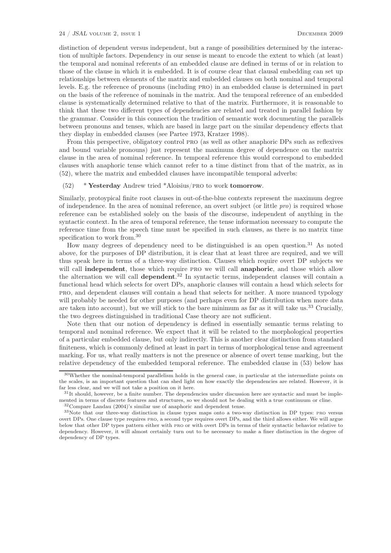distinction of dependent versus independent, but a range of possibilities determined by the interaction of multiple factors. Dependency in our sense is meant to encode the extent to which (at least) the temporal and nominal referents of an embedded clause are defined in terms of or in relation to those of the clause in which it is embedded. It is of course clear that clausal embedding can set up relationships between elements of the matrix and embedded clauses on both nominal and temporal levels. E.g. the reference of pronouns (including pro) in an embedded clause is determined in part on the basis of the reference of nominals in the matrix. And the temporal reference of an embedded clause is systematically determined relative to that of the matrix. Furthermore, it is reasonable to think that these two different types of dependencies are related and treated in parallel fashion by the grammar. Consider in this connection the tradition of semantic work documenting the parallels between pronouns and tenses, which are based in large part on the similar dependency effects that they display in embedded clauses (see Partee 1973, Kratzer 1998).

From this perspective, obligatory control pro (as well as other anaphoric DPs such as reflexives and bound variable pronouns) just represent the maximum degree of dependence on the matrix clause in the area of nominal reference. In temporal reference this would correspond to embedded clauses with anaphoric tense which cannot refer to a time distinct from that of the matrix, as in (52), where the matrix and embedded clauses have incompatible temporal adverbs:

## $(52)$  \* Yesterday Andrew tried \*Aloisius/PRO to work tomorrow.

Similarly, protoypical finite root clauses in out-of-the-blue contexts represent the maximum degree of independence. In the area of nominal reference, an overt subject (or little pro) is required whose reference can be established solely on the basis of the discourse, independent of anything in the syntactic context. In the area of temporal reference, the tense information necessary to compute the reference time from the speech time must be specified in such clauses, as there is no matrix time specification to work from.<sup>30</sup>

How many degrees of dependency need to be distinguished is an open question.<sup>31</sup> As noted above, for the purposes of DP distribution, it is clear that at least three are required, and we will thus speak here in terms of a three-way distinction. Clauses which require overt DP subjects we will call independent, those which require PRO we will call anaphoric, and those which allow the alternation we will call dependent. <sup>32</sup> In syntactic terms, independent clauses will contain a functional head which selects for overt DPs, anaphoric clauses will contain a head which selects for pro, and dependent clauses will contain a head that selects for neither. A more nuanced typology will probably be needed for other purposes (and perhaps even for DP distribution when more data are taken into account), but we will stick to the bare minimum as far as it will take us.<sup>33</sup> Crucially, the two degrees distinguished in traditional Case theory are not sufficient.

Note then that our notion of dependency is defined in essentially semantic terms relating to temporal and nominal reference. We expect that it will be related to the morphological properties of a particular embedded clause, but only indirectly. This is another clear distinction from standard finiteness, which is commonly defined at least in part in terms of morphological tense and agreement marking. For us, what really matters is not the presence or absence of overt tense marking, but the relative dependency of the embedded temporal reference. The embedded clause in (53) below has

<sup>30</sup>Whether the nominal-temporal parallelism holds in the general case, in particular at the intermediate points on the scales, is an important question that can shed light on how exactly the dependencies are related. However, it is far less clear, and we will not take a position on it here.

 $31$ It should, however, be a finite number. The dependencies under discussion here are syntactic and must be implemented in terms of discrete features and structures, so we should not be dealing with a true continuum or cline.

<sup>32</sup>Compare Landau (2004)'s similar use of anaphoric and dependent tense.

<sup>33</sup>Note that our three-way distinction in clause types maps onto a two-way distinction in DP types: pro versus overt DPs. One clause type requires pro, a second type requires overt DPs, and the third allows either. We will argue below that other DP types pattern either with pro or with overt DPs in terms of their syntactic behavior relative to dependency. However, it will almost certainly turn out to be necessary to make a finer distinction in the degree of dependency of DP types.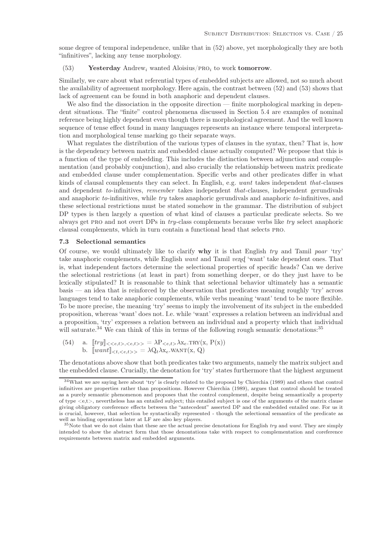some degree of temporal independence, unlike that in (52) above, yet morphologically they are both "infinitives", lacking any tense morphology.

# (53) Yesterday Andrew<sub>i</sub> wanted Aloisius/PRO<sub>i</sub> to work tomorrow.

Similarly, we care about what referential types of embedded subjects are allowed, not so much about the availability of agreement morphology. Here again, the contrast between (52) and (53) shows that lack of agreement can be found in both anaphoric and dependent clauses.

We also find the dissociation in the opposite direction — finite morphological marking in dependent situations. The "finite" control phenomena discussed in Section 5.4 are examples of nominal reference being highly dependent even though there is morphological agreement. And the well known sequence of tense effect found in many languages represents an instance where temporal interpretation and morphological tense marking go their separate ways.

What regulates the distribution of the various types of clauses in the syntax, then? That is, how is the dependency between matrix and embedded clause actually computed? We propose that this is a function of the type of embedding. This includes the distinction between adjunction and complementation (and probably conjunction), and also crucially the relationship between matrix predicate and embedded clause under complementation. Specific verbs and other predicates differ in what kinds of clausal complements they can select. In English, e.g. want takes independent that-clauses and dependent to-infinitives, remember takes independent that-clauses, independent gerundivals and anaphoric to-infinitives, while try takes anaphoric gerundivals and anaphoric to-infinitives, and these selectional restrictions must be stated somehow in the grammar. The distribution of subject DP types is then largely a question of what kind of clauses a particular predicate selects. So we always get pro and not overt DPs in try-class complements because verbs like try select anaphoric clausal complements, which in turn contain a functional head that selects pro.

# 7.3 Selectional semantics

Of course, we would ultimately like to clarify  $why$  it is that English try and Tamil paar 'try' take anaphoric complements, while English want and Tamil ven $d$  'want' take dependent ones. That is, what independent factors determine the selectional properties of specific heads? Can we derive the selectional restrictions (at least in part) from something deeper, or do they just have to be lexically stipulated? It is reasonable to think that selectional behavior ultimately has a semantic basis — an idea that is reinforced by the observation that predicates meaning roughly 'try' across languages tend to take anaphoric complements, while verbs meaning 'want' tend to be more flexible. To be more precise, the meaning 'try' seems to imply the involvement of its subject in the embedded proposition, whereas 'want' does not. I.e. while 'want' expresses a relation between an individual and a proposition, 'try' expresses a relation between an individual and a property which that individual will saturate.<sup>34</sup> We can think of this in terms of the following rough semantic denotations:<sup>35</sup>

(54) a. 
$$
[try]_{\langle\langle e,t\rangle,\langle e,t\rangle\rangle} = \lambda P_{\langle e,t\rangle} \lambda x_e \cdot \text{TRY}(x, P(x))
$$
 b.  $[want]_{\langle t, \langle e,t\rangle\rangle} = \lambda Q_t \lambda x_e \cdot \text{WANT}(x, Q)$ 

The denotations above show that both predicates take two arguments, namely the matrix subject and the embedded clause. Crucially, the denotation for 'try' states furthermore that the highest argument

<sup>34</sup>What we are saying here about 'try' is clearly related to the proposal by Chierchia (1989) and others that control infinitives are properties rather than propositions. However Chierchia (1989), argues that control should be treated as a purely semantic phenomenon and proposes that the control complement, despite being semantically a property of type  $\langle e,t \rangle$ , nevertheless has an entailed subject; this entailed subject is one of the arguments of the matrix clause giving obligatory coreference effects between the "antecedent" asserted DP and the embedded entailed one. For us it is crucial, however, that selection be syntactically represented - though the selectional semantics of the predicate as well as binding operations later at LF are also key players.

<sup>35</sup>Note that we do not claim that these are the actual precise denotations for English *try* and *want*. They are simply intended to show the abstract form that those denontations take with respect to complementation and coreference requirements between matrix and embedded arguments.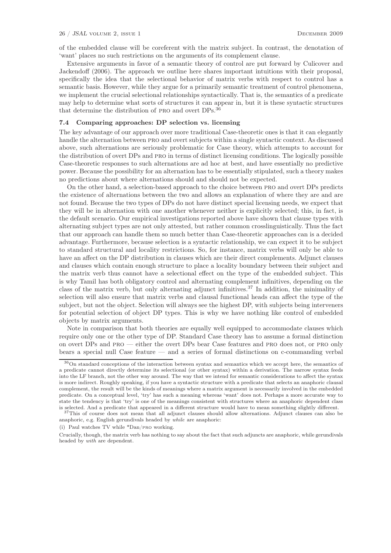of the embedded clause will be coreferent with the matrix subject. In contrast, the denotation of 'want' places no such restrictions on the arguments of its complement clause.

Extensive arguments in favor of a semantic theory of control are put forward by Culicover and Jackendoff (2006). The approach we outline here shares important intuitions with their proposal, specifically the idea that the selectional behavior of matrix verbs with respect to control has a semantic basis. However, while they argue for a primarily semantic treatment of control phenomena, we implement the crucial selectional relationships syntactically. That is, the semantics of a predicate may help to determine what sorts of structures it can appear in, but it is these syntactic structures that determine the distribution of PRO and overt DPs.<sup>36</sup>

#### 7.4 Comparing approaches: DP selection vs. licensing

The key advantage of our approach over more traditional Case-theoretic ones is that it can elegantly handle the alternation between pro and overt subjects within a single syntactic context. As discussed above, such alternations are seriously problematic for Case theory, which attempts to account for the distribution of overt DPs and pro in terms of distinct licensing conditions. The logically possible Case-theoretic responses to such alternations are ad hoc at best, and have essentially no predictive power. Because the possibility for an alternation has to be essentially stipulated, such a theory makes no predictions about where alternations should and should not be expected.

On the other hand, a selection-based approach to the choice between pro and overt DPs predicts the existence of alternations between the two and allows an explanation of where they are and are not found. Because the two types of DPs do not have distinct special licensing needs, we expect that they will be in alternation with one another whenever neither is explicitly selected; this, in fact, is the default scenario. Our empirical investigations reported above have shown that clause types with alternating subject types are not only attested, but rather common crosslinguistically. Thus the fact that our approach can handle them so much better than Case-theoretic approaches can is a decided advantage. Furthermore, because selection is a syntactic relationship, we can expect it to be subject to standard structural and locality restrictions. So, for instance, matrix verbs will only be able to have an affect on the DP distribution in clauses which are their direct complements. Adjunct clauses and clauses which contain enough structure to place a locality boundary between their subject and the matrix verb thus cannot have a selectional effect on the type of the embedded subject. This is why Tamil has both obligatory control and alternating complement infinitives, depending on the class of the matrix verb, but only alternating adjunct infinitives.<sup>37</sup> In addition, the minimality of selection will also ensure that matrix verbs and clausal functional heads can affect the type of the subject, but not the object. Selection will always see the highest DP, with subjects being interveners for potential selection of object DP types. This is why we have nothing like control of embedded objects by matrix arguments.

Note in comparison that both theories are equally well equipped to accommodate clauses which require only one or the other type of DP. Standard Case theory has to assume a formal distinction on overt DPs and pro — either the overt DPs bear Case features and pro does not, or pro only bears a special null Case feature — and a series of formal distinctions on c-commanding verbal

(i) Paul watches TV while \*Dan/pro working.

<sup>36</sup>On standard conceptions of the interaction between syntax and semantics which we accept here, the semantics of a predicate cannot directly determine its selectional (or other syntax) within a derivation. The narrow syntax feeds into the LF branch, not the other way around. The way that we intend for semantic considerations to affect the syntax is more indirect. Roughly speaking, if you have a syntactic structure with a predicate that selects an anaphoric clausal complement, the result will be the kinds of meanings where a matrix argument is necessarily involved in the embedded predicate. On a conceptual level, 'try' has such a meaning whereas 'want' does not. Perhaps a more accurate way to state the tendency is that 'try' is one of the meanings consistent with structures where an anaphoric dependent class is selected. And a predicate that appeared in a different structure would have to mean something slightly different.

<sup>37</sup>This of course does not mean that all adjunct clauses should allow alternations. Adjunct clauses can also be anaphoric, e.g. English gerundivals headed by *while* are anaphoric:

Crucially, though, the matrix verb has nothing to say about the fact that such adjuncts are anaphoric, while gerundivals headed by *with* are dependent.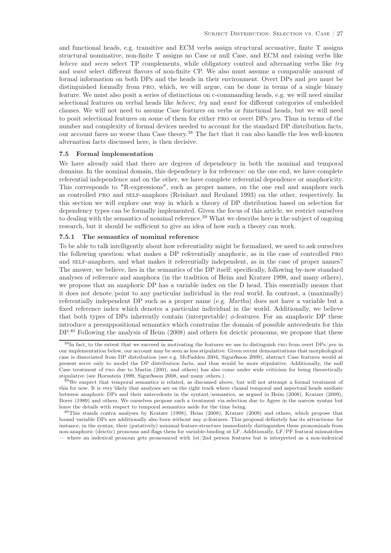and functional heads, e.g. transitive and ECM verbs assign structural accusative, finite T assigns structural nominative, non-finite T assigns no Case or null Case, and ECM and raising verbs like believe and seem select TP complements, while obligatory control and alternating verbs like try and want select different flavors of non-finite CP. We also must assume a comparable amount of formal information on both DPs and the heads in their environment. Overt DPs and pro must be distinguished formally from pro, which, we will argue, can be done in terms of a single binary feature. We must also posit a series of distinctions on c-commanding heads, e.g. we will need similar selectional features on verbal heads like believe, try and want for different categories of embedded clauses. We will not need to assume Case features on verbs or functional heads, but we will need to posit selectional features on some of them for either PRO or overt  $DPs/pro$ . Thus in terms of the number and complexity of formal devices needed to account for the standard DP distribution facts, our account fares no worse than Case theory.<sup>38</sup> The fact that it can also handle the less well-known alternation facts discussed here, is then decisive.

# 7.5 Formal implementation

We have already said that there are degrees of dependency in both the nominal and temporal domains. In the nominal domain, this dependency is for reference: on the one end, we have complete referential independence and on the other, we have complete referential dependence or anaphoricity. This corresponds to "R-expressions", such as proper names, on the one end and anaphors such as controlled pro and self-anaphors (Reinhart and Reuland 1993) on the other, respectively. In this section we will explore one way in which a theory of DP distribution based on selection for dependency types can be formally implemented. Given the focus of this article, we restrict ourselves to dealing with the semantics of nominal reference.<sup>39</sup> What we describe here is the subject of ongoing research, but it should be sufficient to give an idea of how such a theory can work.

#### 7.5.1 The semantics of nominal reference

To be able to talk intelligently about how referentiality might be formalized, we need to ask ourselves the following question: what makes a DP referentially anaphoric, as in the case of controlled pro and self-anaphors, and what makes it referentially independent, as in the case of proper names? The answer, we believe, lies in the semantics of the DP itself: specifically, following by-now standard analyses of reference and anaphora (in the tradition of Heim and Kratzer 1998, and many others), we propose that an anaphoric DP has a variable index on the D head. This essentially means that it does not denote/point to any particular individual in the real world. In contrast, a (maximally) referentially independent DP such as a proper name (e.g. Martha) does not have a variable but a fixed reference index which denotes a particular individual in the world. Additionally, we believe that both types of DPs inherently contain (interpretable)  $\phi$ -features. For an anaphoric DP these introduce a presuppositional semantics which constrains the domain of possible antecedents for this DP.<sup>40</sup> Following the analysis of Heim (2008) and others for deictic pronouns, we propose that these

<sup>38</sup>In fact, to the extent that we succeed in motivating the features we use to distinguish pro from overt DPs/*pro* in our implementation below, our account may be seen as less stipulative. Given recent demonstrations that morphological case is dissociated from DP distribution (see e.g. McFadden 2004, Sigurðsson 2009), abstract Case features would at present serve only to model the DP distribution facts, and thus would be more stipulative. Additionally, the null Case treatment of pro due to Martin (2001, and others) has also come under wide criticism for being theoretically stipulative (see Hornstein 1999, Sigurðsson 2008, and many others.).

 $39$ We suspect that temporal semantics is related, as discussed above, but will not attempt a formal treatment of this for now. It is very likely that analyses are on the right track where clausal temporal and aspectual heads mediate between anaphoric DPs and their antecedents in the syntaxt/semantics, as argued in Heim (2008), Kratzer (2009), Borer (1989) and others. We ourselves propose such a treatment via selection due to Agree in the narrow syntax but leave the details with respect to temporal semantics aside for the time being.

<sup>40</sup>This stands contra analyses by Kratzer (1998), Heim (2008), Kratzer (2009) and others, which propose that bound variable DPs are additionally also born without any  $\phi$ -features. This proposal definitely has its attractions: for instance, in the syntax, their (putatively) minimal feature-structure immediately distinguishes these pronominals from non-anaphoric (deictic) pronouns and flags them for variable-binding at LF. Additionally, LF/PF featural mismatches — where an indexical pronoun gets pronounced with 1st/2nd person features but is interpreted as a non-indexical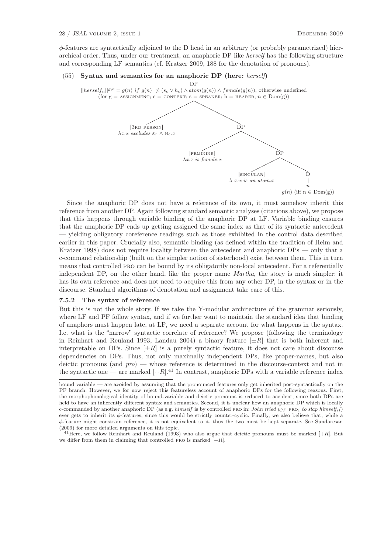$\phi$ -features are syntactically adjoined to the D head in an arbitrary (or probably parametrized) hierarchical order. Thus, under our treatment, an anaphoric DP like herself has the following structure and corresponding LF semantics (cf. Kratzer 2009, 188 for the denotation of pronouns).

# (55) Syntax and semantics for an anaphoric DP (here: herself)



 $g(n)$  (iff  $n \in Dom(g)$ )

Since the anaphoric DP does not have a reference of its own, it must somehow inherit this reference from another DP. Again following standard semantic analyses (citations above), we propose that this happens through variable binding of the anaphoric DP at LF. Variable binding ensures that the anaphoric DP ends up getting assigned the same index as that of its syntactic antecedent — yielding obligatory coreference readings such as those exhibited in the control data described earlier in this paper. Crucially also, semantic binding (as defined within the tradition of Heim and Kratzer 1998) does not require locality between the antecedent and anaphoric DPs — only that a c-command relationship (built on the simpler notion of sisterhood) exist between them. This in turn means that controlled pro can be bound by its obligatorily non-local antecedent. For a referentially independent DP, on the other hand, like the proper name Martha, the story is much simpler: it has its own reference and does not need to acquire this from any other DP, in the syntax or in the discourse. Standard algorithms of denotation and assignment take care of this.

#### 7.5.2 The syntax of reference

But this is not the whole story. If we take the Y-modular architecture of the grammar seriously, where LF and PF follow syntax, and if we further want to maintain the standard idea that binding of anaphors must happen late, at LF, we need a separate account for what happens in the syntax. I.e. what is the "narrow" syntactic correlate of reference? We propose (following the terminology in Reinhart and Reuland 1993, Landau 2004) a binary feature  $[\pm R]$  that is both inherent and interpretable on DPs. Since  $[\pm R]$  is a purely syntactic feature, it does not care about discourse dependencies on DPs. Thus, not only maximally independent DPs, like proper-names, but also deictic pronouns (and  $\text{pro}$ ) — whose reference is determined in the discourse-context and not in the syntactic one — are marked  $[+R]$ .<sup>41</sup> In contrast, anaphoric DPs with a variable reference index

<sup>41</sup> Here, we follow Reinhart and Reuland (1993) who also argue that deictic pronouns must be marked  $[+R]$ . But we differ from them in claiming that controlled PRO is marked  $[-R]$ .

bound variable — are avoided by assuming that the pronounced features only get inherited post-syntactically on the PF branch. However, we for now reject this featureless account of anaphoric DPs for the following reasons. First, the morphophonological identity of bound-variable and deictic pronouns is reduced to accident, since both DPs are held to have an inherently different syntax and semantics. Second, it is unclear how an anaphoric DP which is locally c-commanded by another anaphoric DP (as e.g. *himself* is by controlled PRO in: *John tried*  $|_{CP}$  PRO<sub>i</sub> to slap himself<sub>i</sub>]) ever gets to inherit its φ-features, since this would be strictly counter-cyclic. Finally, we also believe that, while a φ-feature might constrain reference, it is not equivalent to it, thus the two must be kept separate. See Sundaresan (2009) for more detailed arguments on this topic.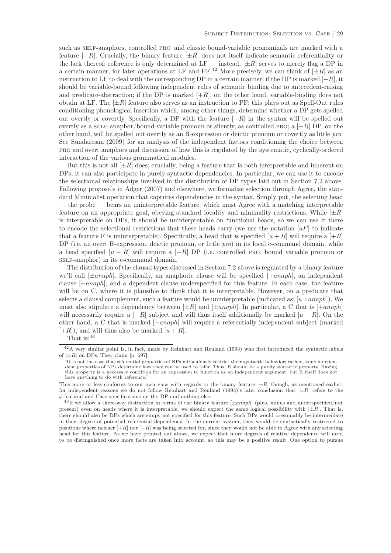such as SELF-anaphors, controlled PRO and classic bound-variable pronominals are marked with a feature  $[-R]$ . Crucially, the binary feature  $[\pm R]$  does not itself indicate semantic referentiality or the lack thereof: reference is only determined at  $LF$  — instead,  $[\pm R]$  serves to merely flag a DP in a certain manner, for later operations at LF and PF.<sup>42</sup> More precisely, we can think of  $[\pm R]$  as an instruction to LF to deal with the corresponding DP in a certain manner: if the DP is marked  $[-R]$ , it should be variable-bound following independent rules of semantic binding due to antecedent-raising and predicate-abstraction; if the DP is marked  $[+R]$ , on the other hand, variable-binding does not obtain at LF. The  $[\pm R]$  feature also serves as an instruction to PF: this plays out as Spell-Out rules conditioning phonological insertion which, among other things, determine whether a DP gets spelled out overtly or covertly. Specifically, a DP with the feature  $[-R]$  in the syntax will be spelled out overtly as a self-anaphor/bound-variable pronoun or silently, as controlled PRO; a  $[+R]$  DP, on the other hand, will be spelled out overtly as an R-expression or deictic pronoun or covertly as little pro. See Sundaresan (2009) for an analysis of the independent factors conditioning the choice between pro and overt anaphors and discussion of how this is regulated by the systematic, cyclically-ordered interaction of the various grammatical modules.

But this is not all  $[\pm R]$  does; crucially, being a feature that is both interpretable and inherent on DPs, it can also participate in purely syntactic dependencies. In particular, we can use it to encode the selectional relationships involved in the distribution of DP types laid out in Section 7.2 above. Following proposals in Adger (2007) and elsewhere, we formalize selection through Agree, the standard Minimalist operation that captures dependencies in the syntax. Simply put, the selecting head — the probe — bears an uninterpretable feature, which must Agree with a matching interpretable feature on an appropriate goal, obeying standard locality and minimality restrictions. While  $[\pm R]$ is interpretable on DPs, it should be uninterpretable on functional heads, so we can use it there to encode the selectional restrictions that these heads carry (we use the notation  $[uF]$  to indicate that a feature F is uninterpretable). Specifically, a head that is specified  $[u + R]$  will require a  $[+R]$ DP (i.e. an overt R-expression, deictic pronoun, or little pro) in its local c-command domain, while a head specified  $[u - R]$  will require a  $[-R]$  DP (i.e. controlled PRO, bound variable pronoun or self-anaphor) in its c-command domain.

The distribution of the clausal types discussed in Section 7.2 above is regulated by a binary feature we'll call  $[\pm anaph]$ . Specifically, an anaphoric clause will be specified  $[\pm anaph]$ , an independent clause [−anaph], and a dependent clause underspecified for this feature. In each case, the feature will be on C, where it is plausible to think that it is interpretable. However, on a predicate that selects a clausal complement, such a feature would be uninterpretable (indicated as:  $[u \pm anaph]$ ). We must also stipulate a dependency between  $[\pm R]$  and  $[\pm anaph]$ . In particular, a C that is  $[+anaph]$ will necessarily require a  $[-R]$  subject and will thus itself additionally be marked  $[u - R]$ . On the other hand, a C that is marked [−anaph] will require a referentially independent subject (marked  $[+R]$ , and will thus also be marked  $[u+R]$ .

That is:  $43$ 

<sup>42</sup>A very similar point is, in fact, made by Reinhart and Reuland (1993) who first introduced the syntactic labels of  $[\pm R]$  on DPs. They claim [p. 697]:

<sup>&</sup>quot;It is not the case that referential properties of NPs miraculously restrict their syntactic behavior; rather, some independent properties of NPs determine how they can be used to refer. Thus, R should be a purely syntactic property. Having this property is a necessary condition for an expression to function as an independent argument, but R itself does not have anything to do with reference."

This more or less conforms to our own view with regards to the binary feature  $[\pm R]$  though, as mentioned earlier, for independent reasons we do not follow Reinhart and Reuland (1993)'s later conclusion that  $[\pm R]$  refers to the  $\phi$  featural and Case specifications on the DP and nothing else.

 $^{43}$  If we allow a three-way distinction in terms of the binary feature  $[\pm anaph]$  (plus, minus and underspecified/not present) even on heads where it is interpretable, we should expect the same logical possibility with  $[\pm R]$ . That is, there should also be DPs which are simpy not specified for this feature. Such DPs would presumably be intermediate in their degree of potential referential dependency. In the current system, they would be syntactically restricted to positions where neither  $[-R]$  nor  $[-R]$  was being selected for, since they would not be able to Agree with any selecting head for this feature. As we have pointed out above, we expect that more degrees of relative dependence will need to be distinguished once more facts are taken into account, so this may be a positive result. One option to pursue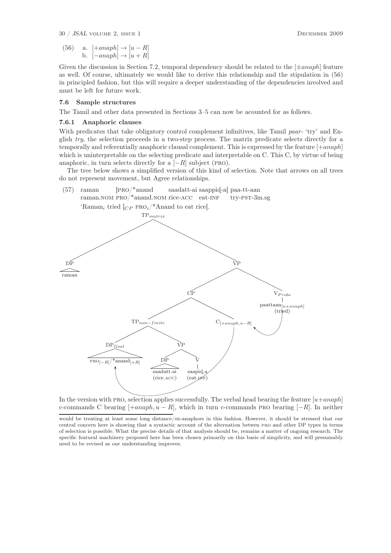30 / JSAL volume 2, issue 1 December 2009

(56) a. 
$$
[-anaph] \rightarrow [u-R]
$$
  
b.  $[-anaph] \rightarrow [u+R]$ 

Given the discussion in Section 7.2, temporal dependency should be related to the  $[\pm anaph]$  feature as well. Of course, ultimately we would like to derive this relationship and the stipulation in (56) in principled fashion, but this will require a deeper understanding of the dependencies involved and must be left for future work.

#### 7.6 Sample structures

The Tamil and other data presented in Sections 3–5 can now be acounted for as follows.

#### 7.6.1 Anaphoric clauses

With predicates that take obligatory control complement infinitives, like Tamil paar- 'try' and English try, the selection proceeds in a two-step process. The matrix predicate selects directly for a temporally and referentially anaphoric clausal complement. This is expressed by the feature  $[+anaph]$ which is uninterpretable on the selecting predicate and interpretable on C. This C, by virtue of being anaphoric, in turn selects directly for a  $[-R]$  subject (PRO).

The tree below shows a simplified version of this kind of selection. Note that arrows on all trees do not represent movement, but Agree relationships.



In the version with PRO, selection applies successfully. The verbal head bearing the feature  $[u+anaph]$ c-commands C bearing  $[+anaph, u - R]$ , which in turn c-commands PRO bearing  $[-R]$ . In neither

would be treating at least some long distance/se-anaphors in this fashion. However, it should be stressed that our central concern here is showing that a syntactic account of the alternation betwen pro and other DP types in terms of selection is possible. What the precise details of that analysis should be, remains a matter of ongoing research. The specific featural machinery proposed here has been chosen primarily on this basis of simplicity, and will presumably need to be revised as our understanding improves.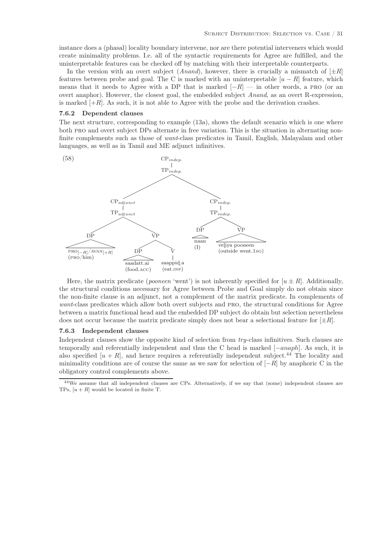instance does a (phasal) locality boundary intervene, nor are there potential interveners which would create minimality problems. I.e. all of the syntactic requirements for Agree are fulfilled, and the uninterpretable features can be checked off by matching with their interpretable counterparts.

In the version with an overt subject  $(Anand)$ , however, there is crucially a mismatch of  $[\pm R]$ features between probe and goal. The C is marked with an uninterpretable  $[u - R]$  feature, which means that it needs to Agree with a DP that is marked  $[-R]$  — in other words, a PRO (or an overt anaphor). However, the closest goal, the embedded subject Anand, as an overt R-expression, is marked  $[+R]$ . As such, it is not able to Agree with the probe and the derivation crashes.

#### 7.6.2 Dependent clauses

The next structure, corresponding to example (13a), shows the default scenario which is one where both pro and overt subject DPs alternate in free variation. This is the situation in alternating nonfinite complements such as those of want-class predicates in Tamil, English, Malayalam and other languages, as well as in Tamil and ME adjunct infinitives.



Here, the matrix predicate (*pooneen* 'went') is not inherently specified for  $[u \pm R]$ . Additionally, the structural conditions necessary for Agree between Probe and Goal simply do not obtain since the non-finite clause is an adjunct, not a complement of the matrix predicate. In complements of want-class predicates which allow both overt subjects and PRO, the structural conditions for Agree between a matrix functional head and the embedded DP subject do obtain but selection nevertheless does not occur because the matrix predicate simply does not bear a selectional feature for  $[\pm R]$ .

#### 7.6.3 Independent clauses

Independent clauses show the opposite kind of selection from try-class infinitives. Such clauses are temporally and referentially independent and thus the C head is marked [−anaph]. As such, it is also specified  $[u + R]$ , and hence requires a referentially independent subject.<sup>44</sup> The locality and minimality conditions are of course the same as we saw for selection of  $[-R]$  by anaphoric C in the obligatory control complements above.

<sup>&</sup>lt;sup>44</sup>We assume that all independent clauses are CPs. Alternatively, if we say that (some) independent clauses are TPs,  $[u + R]$  would be located in finite T.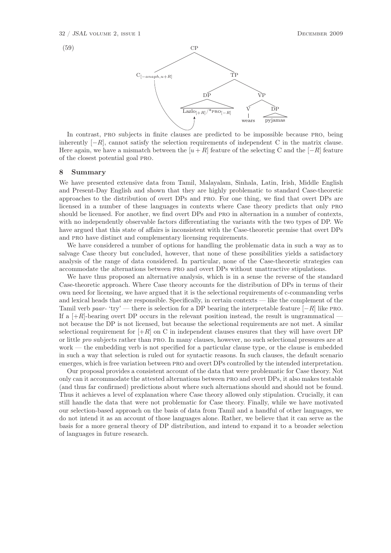

In contrast, pro subjects in finite clauses are predicted to be impossible because pro, being inherently  $[-R]$ , cannot satisfy the selection requirements of independent C in the matrix clause. Here again, we have a mismatch between the  $[u + R]$  feature of the selecting C and the  $[-R]$  feature of the closest potential goal pro.

#### 8 Summary

We have presented extensive data from Tamil, Malayalam, Sinhala, Latin, Irish, Middle English and Present-Day English and shown that they are highly problematic to standard Case-theoretic approaches to the distribution of overt DPs and pro. For one thing, we find that overt DPs are licensed in a number of these languages in contexts where Case theory predicts that only pro should be licensed. For another, we find overt DPs and pro in alternation in a number of contexts, with no independently observable factors differentiating the variants with the two types of DP. We have argued that this state of affairs is inconsistent with the Case-theoretic premise that overt DPs and pro have distinct and complementary licensing requirements.

We have considered a number of options for handling the problematic data in such a way as to salvage Case theory but concluded, however, that none of these possibilities yields a satisfactory analysis of the range of data considered. In particular, none of the Case-theoretic strategies can accommodate the alternations between pro and overt DPs without unattractive stipulations.

We have thus proposed an alternative analysis, which is in a sense the reverse of the standard Case-theoretic approach. Where Case theory accounts for the distribution of DPs in terms of their own need for licensing, we have argued that it is the selectional requirements of c-commanding verbs and lexical heads that are responsible. Specifically, in certain contexts — like the complement of the Tamil verb paar- 'try' — there is selection for a DP bearing the interpretable feature  $[-R]$  like PRO. If a  $[+R]$ -bearing overt DP occurs in the relevant position instead, the result is ungrammatical not because the DP is not licensed, but because the selectional requirements are not met. A similar selectional requirement for  $[+R]$  on C in independent clauses ensures that they will have overt DP or little pro subjects rather than pro. In many clauses, however, no such selectional pressures are at work — the embedding verb is not specified for a particular clause type, or the clause is embedded in such a way that selection is ruled out for syntactic reasons. In such clauses, the default scenario emerges, which is free variation between pro and overt DPs controlled by the intended interpretation.

Our proposal provides a consistent account of the data that were problematic for Case theory. Not only can it accommodate the attested alternations between pro and overt DPs, it also makes testable (and thus far confirmed) predictions about where such alternations should and should not be found. Thus it achieves a level of explanation where Case theory allowed only stipulation. Crucially, it can still handle the data that were not problematic for Case theory. Finally, while we have motivated our selection-based approach on the basis of data from Tamil and a handful of other languages, we do not intend it as an account of those languages alone. Rather, we believe that it can serve as the basis for a more general theory of DP distribution, and intend to expand it to a broader selection of languages in future research.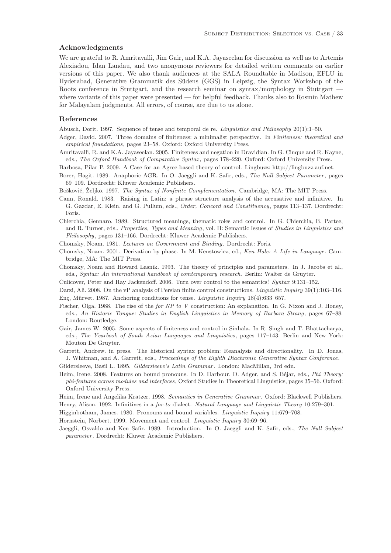#### Acknowledgments

We are grateful to R. Amritavalli, Jim Gair, and K.A. Jayaseelan for discussion as well as to Artemis Alexiadou, Idan Landau, and two anonymous reviewers for detailed written comments on earlier versions of this paper. We also thank audiences at the SALA Roundtable in Madison, EFLU in Hyderabad, Generative Grammatik des Südens (GGS) in Leipzig, the Syntax Workshop of the Roots conference in Stuttgart, and the research seminar on syntax/morphology in Stuttgart – where variants of this paper were presented — for helpful feedback. Thanks also to Rosmin Mathew for Malayalam judgments. All errors, of course, are due to us alone.

# References

Abusch, Dorit. 1997. Sequence of tense and temporal de re. Linguistics and Philosophy 20(1):1–50.

- Adger, David. 2007. Three domains of finiteness: a minimalist perspective. In Finiteness: theoretical and empirical foundations, pages 23–58. Oxford: Oxford University Press.
- Amritavalli, R. and K.A. Jayaseelan. 2005. Finiteness and negation in Dravidian. In G. Cinque and R. Kayne, eds., The Oxford Handbook of Comparative Syntax, pages 178–220. Oxford: Oxford University Press.
- Barbosa, Pilar P. 2009. A Case for an Agree-based theory of control. Lingbuzz: http://lingbuzz.auf.net.
- Borer, Hagit. 1989. Anaphoric AGR. In O. Jaeggli and K. Safir, eds., The Null Subject Parameter, pages 69–109. Dordrecht: Kluwer Academic Publishers.
- Bošković, Željko. 1997. The Syntax of Nonfinite Complementation. Cambridge, MA: The MIT Press.
- Cann, Ronald. 1983. Raising in Latin: a phrase structure analysis of the accusative and infinitive. In G. Gazdar, E. Klein, and G. Pullum, eds., Order, Concord and Constituency, pages 113–137. Dordrecht: Foris.
- Chierchia, Gennaro. 1989. Structured meanings, thematic roles and control. In G. Chierchia, B. Partee, and R. Turner, eds., Properties, Types and Meaning, vol. II: Semantic Issues of Studies in Linguistics and Philosophy, pages 131–166. Dordrecht: Kluwer Academic Publishers.
- Chomsky, Noam. 1981. Lectures on Government and Binding. Dordrecht: Foris.
- Chomsky, Noam. 2001. Derivation by phase. In M. Kenstowicz, ed., Ken Hale: A Life in Language. Cambridge, MA: The MIT Press.
- Chomsky, Noam and Howard Lasnik. 1993. The theory of principles and parameters. In J. Jacobs et al., eds., Syntax: An international handbook of comtemporary research. Berlin: Walter de Gruyter.
- Culicover, Peter and Ray Jackendoff. 2006. Turn over control to the semantics! Syntax 9:131–152.
- Darzi, Ali. 2008. On the vP analysis of Persian finite control constructions. Linguistic Inquiry 39(1):103–116. Enç, Mürvet. 1987. Anchoring conditions for tense. Linguistic Inquiry 18(4):633–657.
- Fischer, Olga. 1988. The rise of the for NP to V construction: An explanation. In G. Nixon and J. Honey, eds., An Historic Tongue: Studies in English Linguistics in Memory of Barbara Strang, pages 67–88. London: Routledge.
- Gair, James W. 2005. Some aspects of finiteness and control in Sinhala. In R. Singh and T. Bhattacharya, eds., The Yearbook of South Asian Languages and Linguistics, pages 117–143. Berlin and New York: Mouton De Gruyter.
- Garrett, Andrew. in press. The historical syntax problem: Reanalysis and directionality. In D. Jonas, J. Whitman, and A. Garrett, eds., Proceedings of the Eighth Diachronic Generative Syntax Conference.
- Gildersleeve, Basil L. 1895. Gildersleeve's Latin Grammar. London: MacMillan, 3rd edn.
- Heim, Irene. 2008. Features on bound pronouns. In D. Harbour, D. Adger, and S. Béjar, eds., Phi Theory: phi-features across modules and interfaces, Oxford Studies in Theoretical Linguistics, pages 35–56. Oxford: Oxford University Press.

Heim, Irene and Angelika Kratzer. 1998. Semantics in Generative Grammar. Oxford: Blackwell Publishers. Henry, Alison. 1992. Infinitives in a for-to dialect. Natural Language and Linguistic Theory 10:279–301.

Higginbotham, James. 1980. Pronouns and bound variables. Linguistic Inquiry 11:679–708.

Hornstein, Norbert. 1999. Movement and control. Linguistic Inquiry 30:69–96.

Jaeggli, Osvaldo and Ken Safir. 1989. Introduction. In O. Jaeggli and K. Safir, eds., The Null Subject parameter. Dordrecht: Kluwer Academic Publishers.